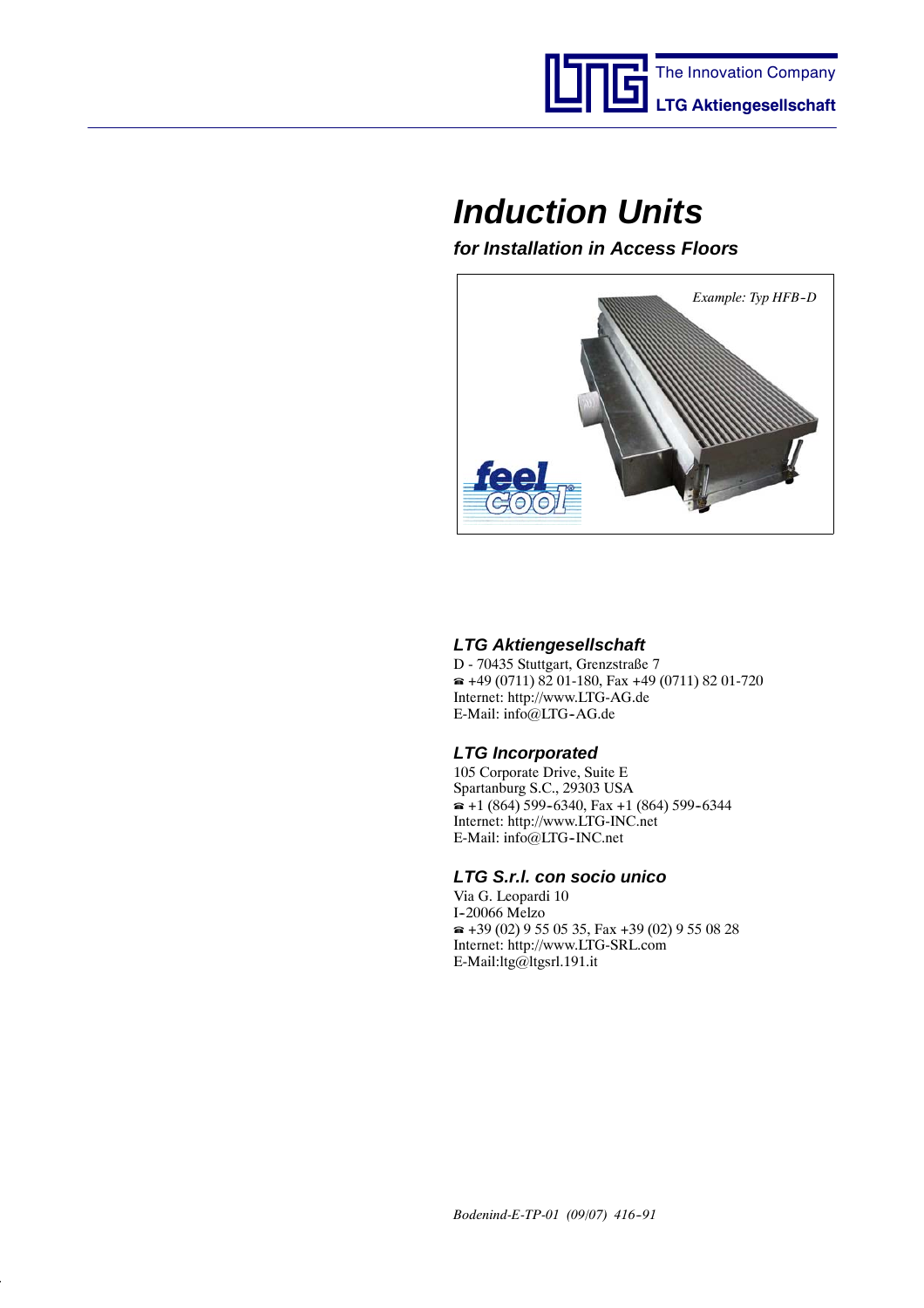

# *Induction Units*

*for Installation in Access Floors*



### *LTG Aktiengesellschaft*

D - 70435 Stuttgart, Grenzstraße 7  $\approx$  +49 (0711) 82 01-180, Fax +49 (0711) 82 01-720 Internet: http://www.LTG-AG.de E-Mail: info@LTG-AG.de

### *LTG Incorporated*

105 Corporate Drive, Suite E Spartanburg S.C., 29303 USA  $\bullet$  +1 (864) 599-6340, Fax +1 (864) 599-6344 Internet: http://www.LTG-INC.net E-Mail: info@LTG--INC.net

### *LTG S.r.l. con socio unico*

Via G. Leopardi 10 I--20066 Melzo  $\approx$  +39 (02) 9 55 05 35, Fax +39 (02) 9 55 08 28 Internet: http://www.LTG-SRL.com E-Mail:ltg@ltgsrl.191.it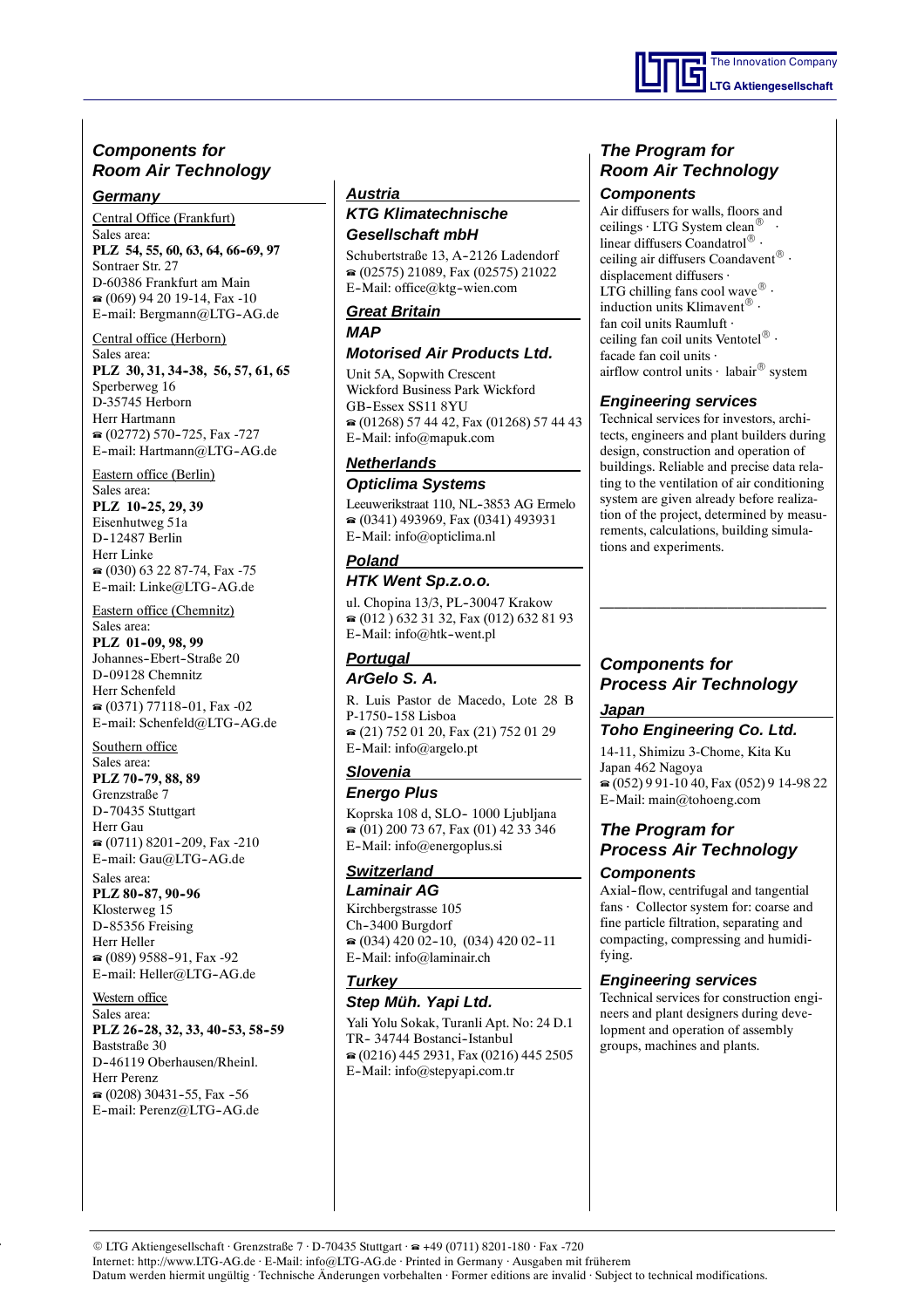### *Components for Room Air Technology*

#### *Germany*

Central Office (Frankfurt)

Sales area: PLZ 54, 55, 60, 63, 64, 66-69, 97 Sontraer Str. 27 D-60386 Frankfurt am Main (069) 94 20 19-14, Fax -10 E-mail: Bergmann@LTG-AG.de

#### Central office (Herborn)

Sales area: **PLZ 30, 31, 34--38, 56, 57, 61, 65** Sperberweg 16 D-35745 Herborn Herr Hartmann  $(02772)$  570-725, Fax -727 E-mail: Hartmann@LTG-AG.de

Eastern office (Berlin)

Sales area: **PLZ** 10-25, 29, 39 Eisenhutweg 51a D--12487 Berlin Herr Linke  $\approx$  (030) 63 22 87-74, Fax -75 E-mail: Linke@LTG-AG.de

Eastern office (Chemnitz)

Sales area: **PLZ** 01-09, 98, 99 Johannes-Ebert-Straße 20 D-09128 Chemnitz Herr Schenfeld  $\approx$  (0371) 77118-01, Fax -02 E-mail: Schenfeld@LTG-AG.de

Southern office Sales area: **PLZ 70--79, 88, 89** Grenzstraße 7 D-70435 Stuttgart

Herr Gau  $\approx$  (0711) 8201-209, Fax -210 E-mail: Gau@LTG-AG.de Sales area:

#### **PLZ 80-87, 90-96**

Klosterweg 15 D-85356 Freising Herr Heller  $(089)$  9588-91, Fax -92 E-mail: Heller@LTG-AG.de

Western office Sales area: **PLZ 26-28, 32, 33, 40-53, 58-59** Baststraße 30 D--46119 Oberhausen/Rheinl. Herr Perenz  $\approx$  (0208) 30431-55, Fax -56 E-mail: Perenz@LTG-AG.de

#### *Austria*

#### *KTG Klimatechnische Gesellschaft mbH*

Schubertstraße 13, A-2126 Ladendorf (02575) 21089, Fax (02575) 21022 E-Mail: office@ktg-wien.com

#### *Great Britain MAP*

#### *Motorised Air Products Ltd.*

Unit 5A, Sopwith Crescent Wickford Business Park Wickford GB-Essex SS11 8YU (01268) 57 44 42, Fax (01268) 57 44 43 E--Mail: info@mapuk.com

#### *Netherlands Opticlima Systems*

Leeuwerikstraat 110, NL-3853 AG Ermelo (0341) 493969, Fax (0341) 493931 E-Mail: info@opticlima.nl

#### *Poland*

#### *HTK Went Sp.z.o.o.*

ul. Chopina 13/3, PL-30047 Krakow  $\bullet$  (012) 632 31 32, Fax (012) 632 81 93 E-Mail: info@htk-went.pl

#### *Portugal ArGelo S. A.*

R. Luis Pastor de Macedo, Lote 28 B P-1750-158 Lisboa (21) 752 01 20, Fax (21) 752 01 29 E--Mail: info@argelo.pt

#### *Slovenia*

*Energo Plus*

Koprska 108 d, SLO-1000 Ljubljana  $\bullet$  (01) 200 73 67, Fax (01) 42 33 346 E--Mail: info@energoplus.si

#### *Switzerland Laminair AG*

Kirchbergstrasse 105 Ch--3400 Burgdorf  $\bullet$  (034) 420 02-10, (034) 420 02-11 E-Mail: info@laminair.ch

#### *Turkey Step Müh. Yapi Ltd.*

Yali Yolu Sokak, Turanli Apt. No: 24 D.1 TR-34744 Bostanci-Istanbul (0216) 445 2931, Fax (0216) 445 2505 E--Mail: info@stepyapi.com.tr

### *The Program for Room Air Technology*

#### *Components*

Air diffusers for walls, floors and ceilings  $\cdot$  LTG System clean<sup>®</sup> linear diffusers Coandatrol $^{\circledR}$  · ceiling air diffusers Coandavent $^{\circledR}$  · displacement diffusers · LTG chilling fans cool wave  $^{\circledR}$  · induction units Klimavent $^{\circledR}$  · fan coil units Raumluft · ceiling fan coil units Ventotel $^{\circledR}$  · facade fan coil units · airflow control units  $\cdot$  labair<sup>®</sup> system

### *Engineering services*

Technical services for investors, architects, engineers and plant builders during design, construction and operation of buildings. Reliable and precise data relating to the ventilation of air conditioning system are given already before realization of the project, determined by measurements, calculations, building simulations and experiments.

### *Components for Process Air Technology*

#### *Japan*

*Toho Engineering Co. Ltd.*

14-11, Shimizu 3-Chome, Kita Ku Japan 462 Nagoya (052) 9 91-10 40, Fax (052) 9 14-98 22 E-Mail: main@tohoeng.com

### *The Program for Process Air Technology Components*

Axial-flow, centrifugal and tangential fans · Collector system for: coarse and fine particle filtration, separating and compacting, compressing and humidifying.

#### *Engineering services*

Technical services for construction engineers and plant designers during development and operation of assembly groups, machines and plants.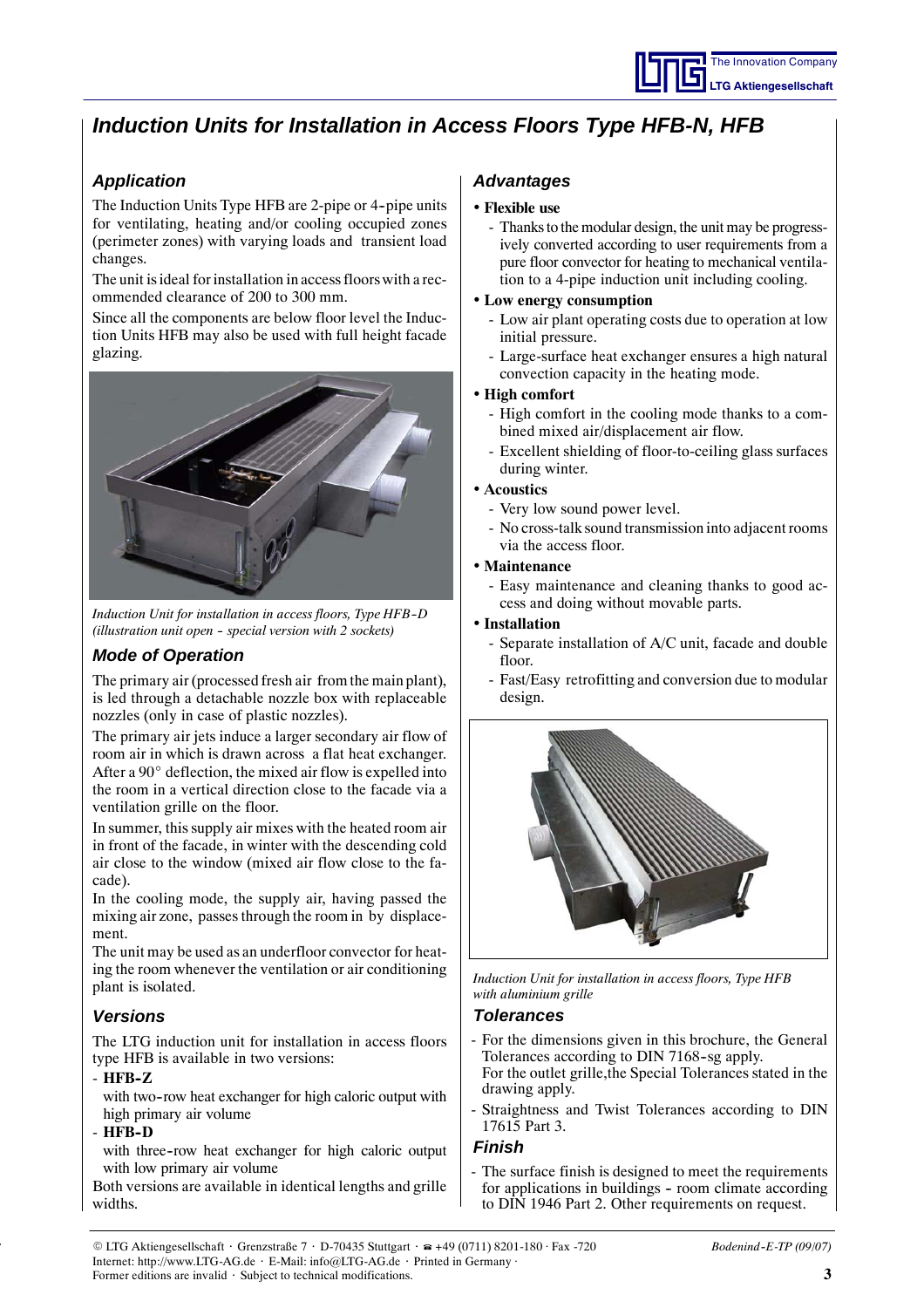## *Induction Units for Installation in Access Floors Type HFB-N, HFB*

## *Application*

The Induction Units Type HFB are 2-pipe or 4-pipe units for ventilating, heating and/or cooling occupied zones (perimeter zones) with varying loads and transient load changes.

The unit isideal for installation in access floors with a recommended clearance of 200 to 300 mm.

Since all the components are below floor level the Induction Units HFB may also be used with full height facade glazing.



*Induction Unit for installation in access floors, Type HFB--D (illustration unit open -- special version with 2 sockets)*

### *Mode of Operation*

The primary air (processed fresh air from the main plant), is led through a detachable nozzle box with replaceable nozzles (only in case of plastic nozzles).

The primary air jets induce a larger secondary air flow of room air in which is drawn across a flat heat exchanger. After a  $90^\circ$  deflection, the mixed air flow is expelled into the room in a vertical direction close to the facade via a ventilation grille on the floor.

In summer, this supply air mixes with the heated room air in front of the facade, in winter with the descending cold air close to the window (mixed air flow close to the facade).

In the cooling mode, the supply air, having passed the mixing air zone, passes through the room in by displacement.

The unit may be used as an underfloor convector for heating the room whenever the ventilation or air conditioning plant is isolated.

### *Versions*

The LTG induction unit for installation in access floors type HFB is available in two versions:

#### - **HFB--Z**

with two-row heat exchanger for high caloric output with high primary air volume

#### - **HFB--D**

with three-row heat exchanger for high caloric output with low primary air volume

Both versions are available in identical lengths and grille widths.

### *Advantages*

#### • **Flexible use**

- Thanks to the modular design, the unit may be progressively converted according to user requirements from a pure floor convector for heating to mechanical ventilation to a 4-pipe induction unit including cooling.

#### • **Low energy consumption**

- Low air plant operating costs due to operation at low initial pressure.
- Large-surface heat exchanger ensures a high natural convection capacity in the heating mode.

#### • **High comfort**

- High comfort in the cooling mode thanks to a combined mixed air/displacement air flow.
- Excellent shielding of floor-to-ceiling glass surfaces during winter.

#### • **Acoustics**

- Very low sound power level.
- No cross-talk sound transmission into adjacent rooms via the access floor.

#### • **Maintenance**

- Easy maintenance and cleaning thanks to good access and doing without movable parts.

#### • **Installation**

- Separate installation of A/C unit, facade and double  $floor$
- Fast/Easy retrofitting and conversion due to modular design.



*Induction Unit for installation in access floors, Type HFB with aluminium grille*

### *Tolerances*

- For the dimensions given in this brochure, the General Tolerances according to DIN 7168-sg apply. For the outlet grille,the Special Tolerances stated in the drawing apply.
- Straightness and Twist Tolerances according to DIN 17615 Part 3.

#### *Finish*

- The surface finish is designed to meet the requirements for applications in buildings - room climate according to DIN 1946 Part 2. Other requirements on request.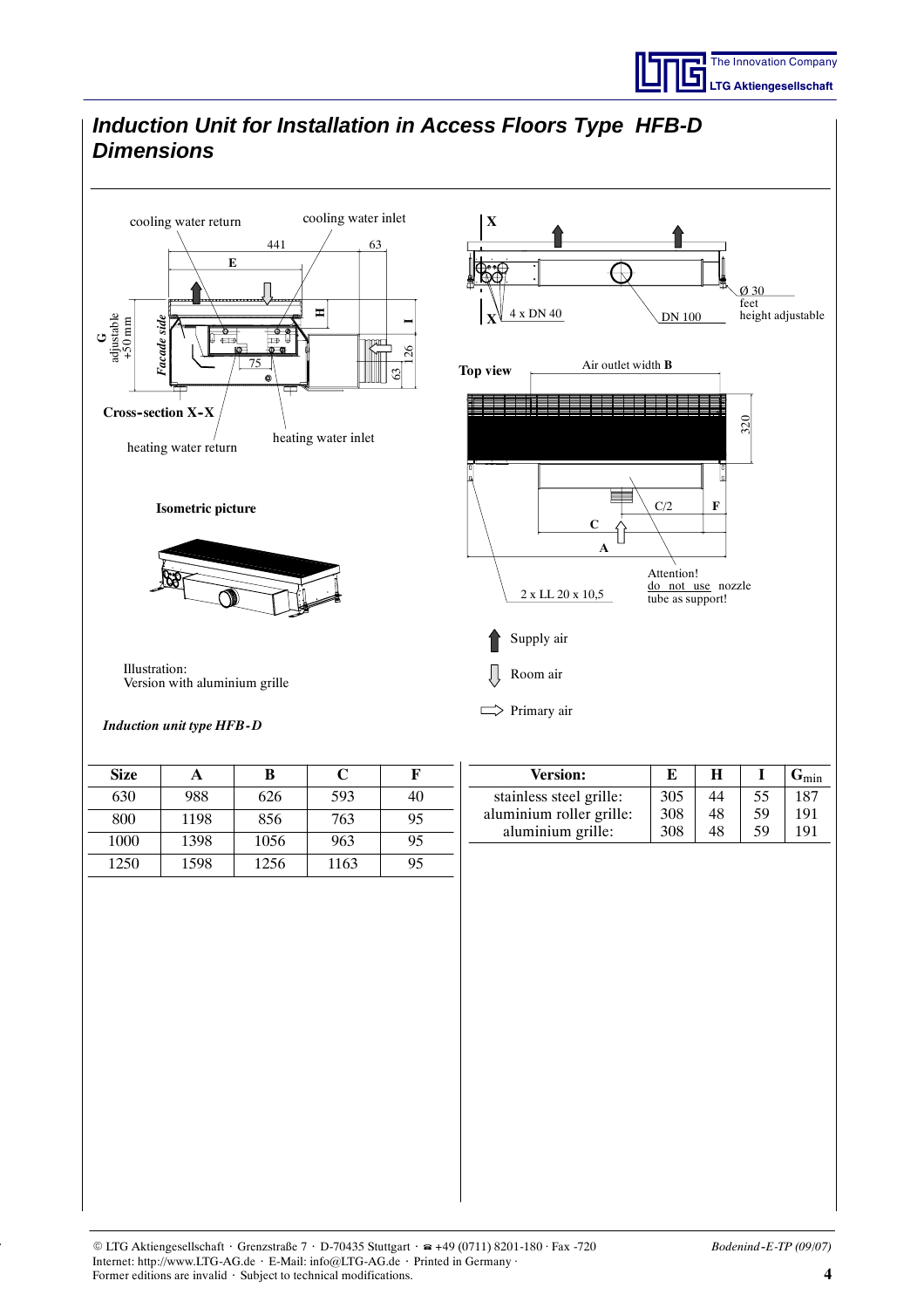

#### *Induction Unit for Installation in Access Floors Type HFB-D Dimensions* cooling water return cooling water inlet **X** 441 63 **E**  $\bigoplus$ Ø 30 feet x DN 40 height adjustable **H**DN 100 adjustable +50 mm **X** *Facade side* **I***rcade sid* **G** mп 126 75 Air outlet width **B Top view** 63 **Cross--section X--X** 320 heating water inlet heating water return **Isometric picture**  $C/2$ **F C A** Attention! do not use nozzle 2 x LL 20 x 10,5 tube as support! Supply air Illustration: Room air Version with aluminium grille  $\Rightarrow$  Primary air *Induction unit type HFB- D* **Version: E H I G**min **Size A B C F** 305 55 stainless steel grille: 44 187 630 | 988 | 626 | 593 | 40 aluminium roller grille: 308 48 59 191 800 | 1198 | 856 | 763 | 95 aluminium grille: 308 48 59 1911000 | 1398 | 1056 | 963 | 95 1250 | 1598 | 1256 | 1163 | 95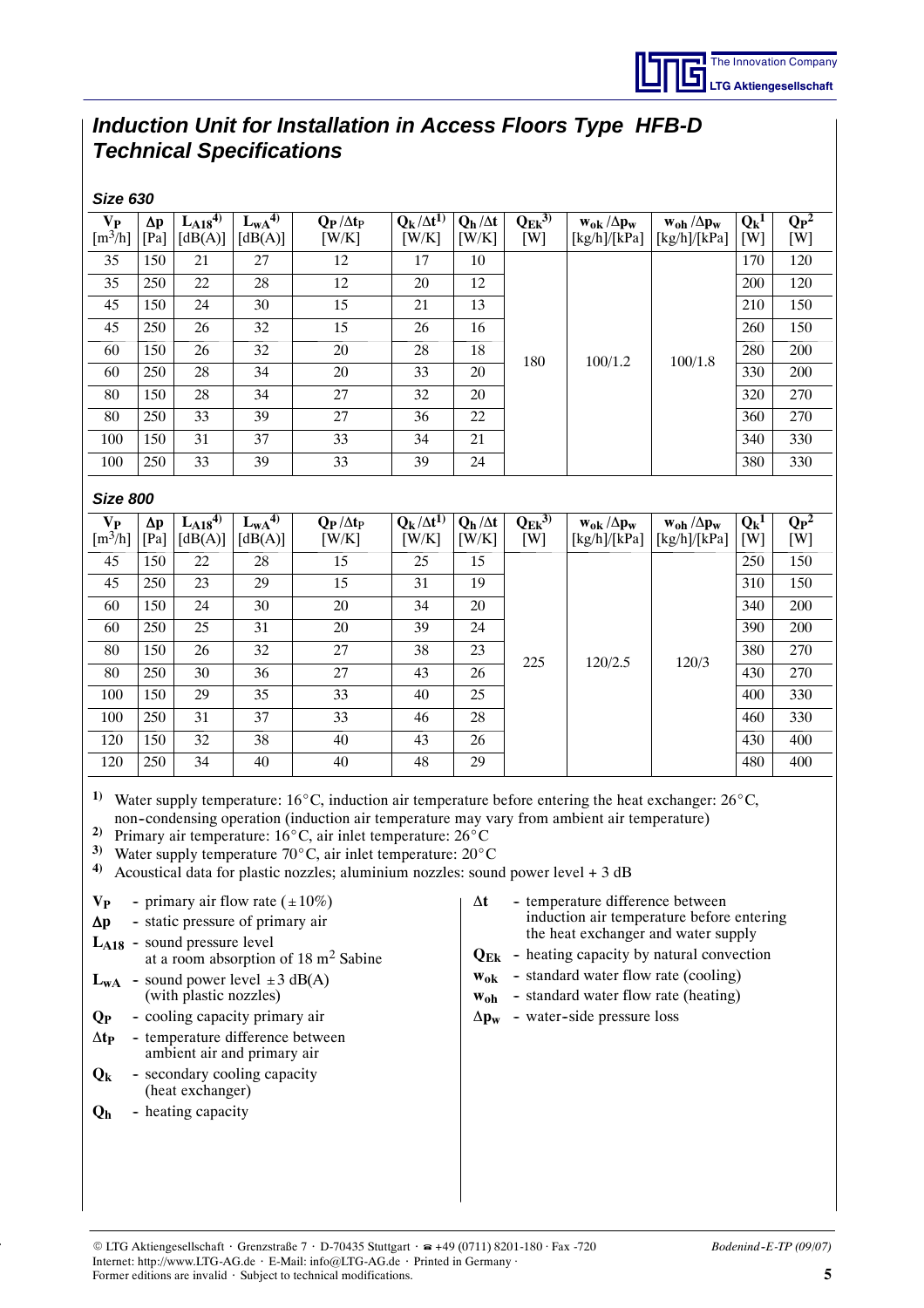## *Induction Unit for Installation in Access Floors Type HFB-D Technical Specifications*

| <b>Size 630</b>                                                                                                                                                                                                                                                                                                                                                                                                                                                                                                                                                                                                                                                                                                                                                                                                                                   |                                                                                                                                                                                 |                           |                          |                           |                               |                         |                       |                                       |                                       |                |                                               |
|---------------------------------------------------------------------------------------------------------------------------------------------------------------------------------------------------------------------------------------------------------------------------------------------------------------------------------------------------------------------------------------------------------------------------------------------------------------------------------------------------------------------------------------------------------------------------------------------------------------------------------------------------------------------------------------------------------------------------------------------------------------------------------------------------------------------------------------------------|---------------------------------------------------------------------------------------------------------------------------------------------------------------------------------|---------------------------|--------------------------|---------------------------|-------------------------------|-------------------------|-----------------------|---------------------------------------|---------------------------------------|----------------|-----------------------------------------------|
| $V_{P}$<br>$\left[\text{m}^3/\text{h}\right]$                                                                                                                                                                                                                                                                                                                                                                                                                                                                                                                                                                                                                                                                                                                                                                                                     | Δp<br>[Pa]                                                                                                                                                                      | $L_{A18}^{4)}$<br>[dB(A)] | $L_{WA}^{4}$<br>[dB(A)]  | $Q_P/\Delta t_P$<br>[W/K] | $Q_k/\Delta t^{1}$<br>[W/K]   | $Q_h/\Delta t$<br>[W/K] | $Q_{Ek}^{(3)}$<br>[W] | $w_{0k}/\Delta p_w$<br>[kg/h]/[kPa]   | $w_{oh} / \Delta p_w$<br>[kg/h]/[kPa] | $Q_k^1$<br>[W] | $\overline{\mathbf{Q}_{\mathbf{P}}^2}$<br>[W] |
| 35                                                                                                                                                                                                                                                                                                                                                                                                                                                                                                                                                                                                                                                                                                                                                                                                                                                | 150                                                                                                                                                                             | 21                        | 27                       | 12                        | 17                            | 10                      |                       |                                       |                                       | 170            | 120                                           |
| 35                                                                                                                                                                                                                                                                                                                                                                                                                                                                                                                                                                                                                                                                                                                                                                                                                                                | 250                                                                                                                                                                             | 22                        | 28                       | 12                        | 20                            | 12                      |                       |                                       |                                       | 200            | 120                                           |
| 45                                                                                                                                                                                                                                                                                                                                                                                                                                                                                                                                                                                                                                                                                                                                                                                                                                                | 150                                                                                                                                                                             | 24                        | 30                       | 15                        | 21                            | 13                      |                       |                                       |                                       | 210            | 150                                           |
| 45                                                                                                                                                                                                                                                                                                                                                                                                                                                                                                                                                                                                                                                                                                                                                                                                                                                | 250                                                                                                                                                                             | 26                        | 32                       | 15                        | 26                            | 16                      |                       |                                       |                                       | 260            | 150                                           |
| 60                                                                                                                                                                                                                                                                                                                                                                                                                                                                                                                                                                                                                                                                                                                                                                                                                                                | 150                                                                                                                                                                             | 26                        | 32                       | 20                        | $28\,$                        | 18                      | 180                   | 100/1.2                               | 100/1.8                               | 280            | 200                                           |
| 60                                                                                                                                                                                                                                                                                                                                                                                                                                                                                                                                                                                                                                                                                                                                                                                                                                                | 250                                                                                                                                                                             | 28                        | 34                       | 20                        | 33                            | 20                      |                       |                                       |                                       | 330            | 200                                           |
| 80                                                                                                                                                                                                                                                                                                                                                                                                                                                                                                                                                                                                                                                                                                                                                                                                                                                | 150                                                                                                                                                                             | 28                        | 34                       | 27                        | 32                            | 20                      |                       |                                       |                                       | 320            | 270                                           |
| 80                                                                                                                                                                                                                                                                                                                                                                                                                                                                                                                                                                                                                                                                                                                                                                                                                                                | 250                                                                                                                                                                             | 33                        | 39                       | 27                        | 36                            | 22                      |                       |                                       |                                       | 360            | 270                                           |
| 100                                                                                                                                                                                                                                                                                                                                                                                                                                                                                                                                                                                                                                                                                                                                                                                                                                               | 150                                                                                                                                                                             | 31                        | 37                       | 33                        | 34                            | 21                      |                       |                                       |                                       | 340            | 330                                           |
| 100                                                                                                                                                                                                                                                                                                                                                                                                                                                                                                                                                                                                                                                                                                                                                                                                                                               | 250                                                                                                                                                                             | 33                        | 39                       | 33                        | 39                            | 24                      |                       |                                       |                                       | 380            | 330                                           |
| <b>Size 800</b>                                                                                                                                                                                                                                                                                                                                                                                                                                                                                                                                                                                                                                                                                                                                                                                                                                   |                                                                                                                                                                                 |                           |                          |                           |                               |                         |                       |                                       |                                       |                |                                               |
| $V_{P}$<br>$\left[\text{m}^3/\text{h}\right]$                                                                                                                                                                                                                                                                                                                                                                                                                                                                                                                                                                                                                                                                                                                                                                                                     | Δp<br>[Pa]                                                                                                                                                                      | $L_{A18}^{4)}$<br>[dB(A)] | $L_{WA}^{4)}$<br>[dB(A)] | $Q_P/\Delta t_P$<br>[W/K] | $Q_k / \Delta t^{1}$<br>[W/K] | $Q_h/\Delta t$<br>[W/K] | $Q_{Ek}^{(3)}$<br>[W] | $w_{ok} / \Delta p_w$<br>[kg/h]/[kPa] | $w_{oh} / \Delta p_w$<br>[kg/h]/[kPa] | $Q_k^1$<br>[W] | $Q_{P}^2$<br>[W]                              |
| 45                                                                                                                                                                                                                                                                                                                                                                                                                                                                                                                                                                                                                                                                                                                                                                                                                                                | 150                                                                                                                                                                             | 22                        | 28                       | 15                        | 25                            | 15                      |                       |                                       |                                       | 250            | 150                                           |
| 45                                                                                                                                                                                                                                                                                                                                                                                                                                                                                                                                                                                                                                                                                                                                                                                                                                                | 250                                                                                                                                                                             | 23                        | 29                       | 15                        | 31                            | 19                      |                       |                                       |                                       | 310            | 150                                           |
| 60                                                                                                                                                                                                                                                                                                                                                                                                                                                                                                                                                                                                                                                                                                                                                                                                                                                | 150                                                                                                                                                                             | 24                        | 30                       | $20\,$                    | 34                            | 20                      |                       | 120/2.5                               |                                       | 340            | 200                                           |
| 60                                                                                                                                                                                                                                                                                                                                                                                                                                                                                                                                                                                                                                                                                                                                                                                                                                                | 250                                                                                                                                                                             | 25                        | 31                       | 20                        | 39                            | 24                      |                       |                                       |                                       | 390            | 200                                           |
| 80                                                                                                                                                                                                                                                                                                                                                                                                                                                                                                                                                                                                                                                                                                                                                                                                                                                | 150                                                                                                                                                                             | 26                        | 32                       | 27                        | 38                            | 23                      | 225                   |                                       | 120/3                                 | 380            | 270                                           |
| 80                                                                                                                                                                                                                                                                                                                                                                                                                                                                                                                                                                                                                                                                                                                                                                                                                                                | 250                                                                                                                                                                             | 30                        | 36                       | 27                        | 43                            | 26                      |                       |                                       |                                       | 430            | 270                                           |
| 100                                                                                                                                                                                                                                                                                                                                                                                                                                                                                                                                                                                                                                                                                                                                                                                                                                               | 150                                                                                                                                                                             | 29                        | 35                       | 33                        | 40                            | 25                      |                       |                                       |                                       | 400            | 330                                           |
| 100                                                                                                                                                                                                                                                                                                                                                                                                                                                                                                                                                                                                                                                                                                                                                                                                                                               | 250                                                                                                                                                                             | 31                        | 37                       | 33                        | 46                            | 28                      |                       |                                       |                                       | 460            | 330                                           |
| 120                                                                                                                                                                                                                                                                                                                                                                                                                                                                                                                                                                                                                                                                                                                                                                                                                                               | 150                                                                                                                                                                             | 32                        | 38                       | 40                        | 43                            | 26                      |                       |                                       |                                       | 430            | 400                                           |
| 120                                                                                                                                                                                                                                                                                                                                                                                                                                                                                                                                                                                                                                                                                                                                                                                                                                               | 250                                                                                                                                                                             | 34                        | 40                       | 40                        | 48                            | 29                      |                       |                                       |                                       | 480            | 400                                           |
| <sup>1)</sup> Water supply temperature: 16°C, induction air temperature before entering the heat exchanger: 26°C,<br>non-condensing operation (induction air temperature may vary from ambient air temperature)<br>2)<br>Primary air temperature: 16°C, air inlet temperature: 26°C<br>3)<br>Water supply temperature 70°C, air inlet temperature: 20°C<br>4)<br>Acoustical data for plastic nozzles; aluminium nozzles: sound power level $+3$ dB<br>- temperature difference between<br>- primary air flow rate $(\pm 10\%)$<br>$\Delta t$<br>V <sub>P</sub><br>induction air temperature before entering<br>- static pressure of primary air<br>$\Delta p$<br>the heat exchanger and water supply<br>$L_{A18}$ - sound pressure level<br>$Q_{Ek}$ - heating capacity by natural convection<br>at a room absorption of 18 m <sup>2</sup> Sabine |                                                                                                                                                                                 |                           |                          |                           |                               |                         |                       |                                       |                                       |                |                                               |
|                                                                                                                                                                                                                                                                                                                                                                                                                                                                                                                                                                                                                                                                                                                                                                                                                                                   | - standard water flow rate (cooling)<br>$W_{0k}$<br>- sound power level $\pm 3$ dB(A)<br>$L_{WA}$<br>- standard water flow rate (heating)<br>(with plastic nozzles)<br>$W_{0h}$ |                           |                          |                           |                               |                         |                       |                                       |                                       |                |                                               |

- Q<sub>P</sub> cooling capacity primary air
- ∆**tP** -- temperature difference between ambient air and primary air
- **Q<sub>k</sub>** secondary cooling capacity (heat exchanger)
- **Q<sub>h</sub>** heating capacity

 $Δp<sub>w</sub>$  - water-side pressure loss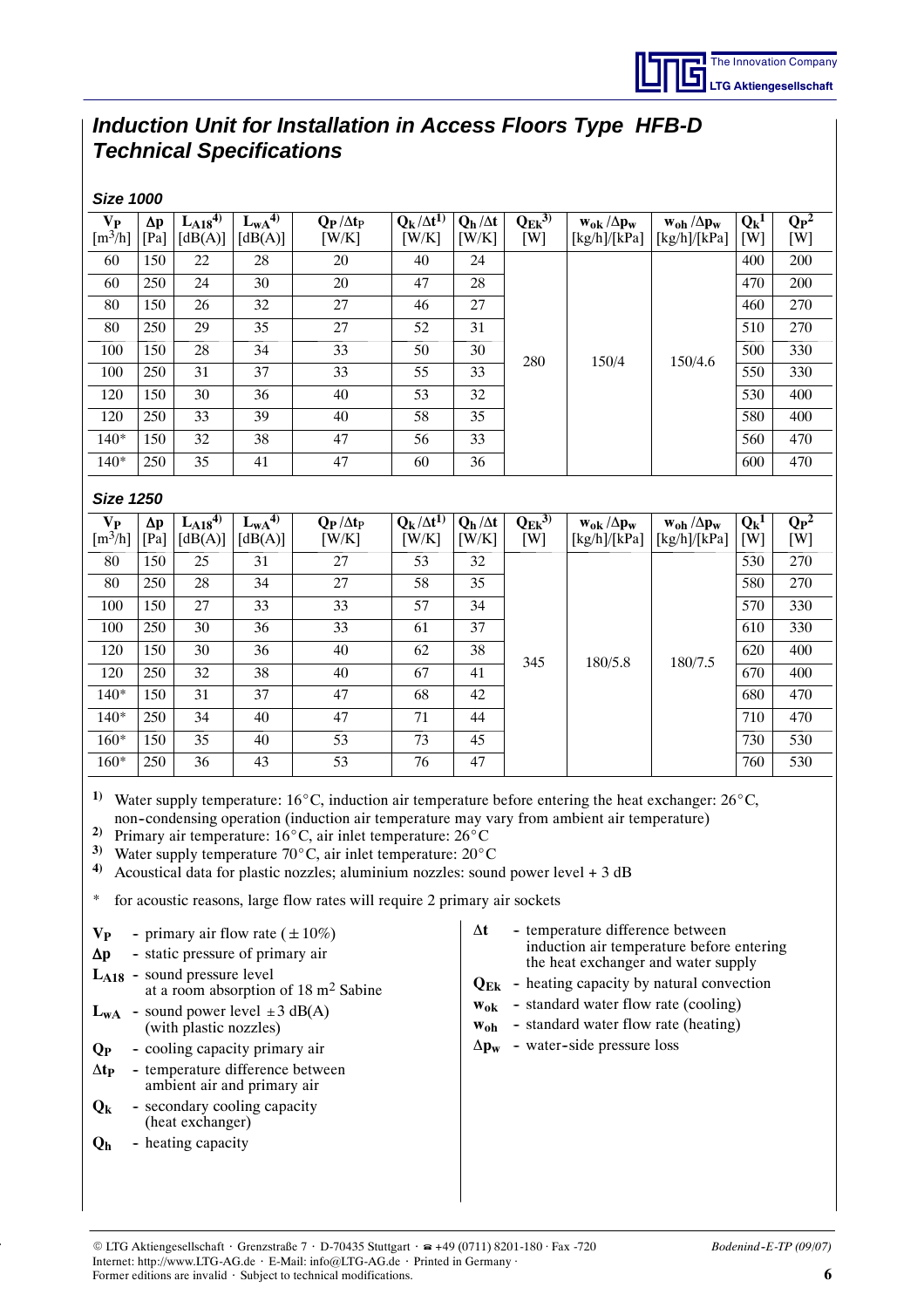## *Induction Unit for Installation in Access Floors Type HFB-D Technical Specifications*

| <b>Size 1000</b>                                                                                                                                                                                                                                                                                                                                                                                                                                                                                                                                          |                    |                                                                                                      |                                                                                                                                                                                                                                                             |                                                 |                               |                                  |                      |                                                                                                                                                                                                                                                                                                               |                                              |                |                                        |     |
|-----------------------------------------------------------------------------------------------------------------------------------------------------------------------------------------------------------------------------------------------------------------------------------------------------------------------------------------------------------------------------------------------------------------------------------------------------------------------------------------------------------------------------------------------------------|--------------------|------------------------------------------------------------------------------------------------------|-------------------------------------------------------------------------------------------------------------------------------------------------------------------------------------------------------------------------------------------------------------|-------------------------------------------------|-------------------------------|----------------------------------|----------------------|---------------------------------------------------------------------------------------------------------------------------------------------------------------------------------------------------------------------------------------------------------------------------------------------------------------|----------------------------------------------|----------------|----------------------------------------|-----|
| $V_{P}$                                                                                                                                                                                                                                                                                                                                                                                                                                                                                                                                                   | $\Delta p$         | $L_{A18}^{(4)}$                                                                                      | $L_{\rm wA}^{4}$                                                                                                                                                                                                                                            | $Q_P / \Delta t_P$                              | $Q_k / \Delta t^{1}$          | $Q_h/\Delta t$                   | $Q_{Ek}^{3)}$        | $w_{0k}/\Delta p_w$                                                                                                                                                                                                                                                                                           | $w_{\text{oh}} / \Delta p_w$                 | $Q_k^1$        | $\overline{\mathbf{Q}_{\mathbf{P}}^2}$ |     |
| $\left[\text{m}^3/\text{h}\right]$                                                                                                                                                                                                                                                                                                                                                                                                                                                                                                                        | [Pa]               | [dB(A)]                                                                                              | [dB(A)]                                                                                                                                                                                                                                                     | [W/K]                                           | [W/K]                         | [W/K]                            | [W]                  | [kg/h]/[kPa]                                                                                                                                                                                                                                                                                                  | [kg/h]/[kPa]                                 | [W]            | [W]                                    |     |
| 60                                                                                                                                                                                                                                                                                                                                                                                                                                                                                                                                                        | 150                | 22                                                                                                   | 28                                                                                                                                                                                                                                                          | 20                                              | 40                            | 24                               |                      |                                                                                                                                                                                                                                                                                                               |                                              |                | 400                                    | 200 |
| 60                                                                                                                                                                                                                                                                                                                                                                                                                                                                                                                                                        | 250                | 24                                                                                                   | 30                                                                                                                                                                                                                                                          | 20                                              | 47                            | 28                               |                      |                                                                                                                                                                                                                                                                                                               |                                              | 470            | 200                                    |     |
| 80                                                                                                                                                                                                                                                                                                                                                                                                                                                                                                                                                        | 150                | 26                                                                                                   | 32                                                                                                                                                                                                                                                          | 27                                              | 46                            | 27                               |                      |                                                                                                                                                                                                                                                                                                               |                                              | 460            | 270                                    |     |
| 80                                                                                                                                                                                                                                                                                                                                                                                                                                                                                                                                                        | 250                | 29                                                                                                   | 35                                                                                                                                                                                                                                                          | 27                                              | 52                            | 31                               |                      |                                                                                                                                                                                                                                                                                                               |                                              | 510            | 270                                    |     |
| 100                                                                                                                                                                                                                                                                                                                                                                                                                                                                                                                                                       | 150                | 28                                                                                                   | 34                                                                                                                                                                                                                                                          | 33                                              | 50                            | 30                               | 280                  |                                                                                                                                                                                                                                                                                                               | 150/4<br>150/4.6                             | 500            | 330                                    |     |
| 100                                                                                                                                                                                                                                                                                                                                                                                                                                                                                                                                                       | 250                | 31                                                                                                   | 37                                                                                                                                                                                                                                                          | 33                                              | 55                            | 33                               |                      |                                                                                                                                                                                                                                                                                                               |                                              | 550            | 330                                    |     |
| 120                                                                                                                                                                                                                                                                                                                                                                                                                                                                                                                                                       | 150                | 30                                                                                                   | 36                                                                                                                                                                                                                                                          | 40                                              | 53                            | 32                               |                      |                                                                                                                                                                                                                                                                                                               |                                              | 530            | 400                                    |     |
| 120                                                                                                                                                                                                                                                                                                                                                                                                                                                                                                                                                       | 250                | 33                                                                                                   | 39                                                                                                                                                                                                                                                          | 40                                              | 58                            | 35                               |                      |                                                                                                                                                                                                                                                                                                               |                                              | 580            | 400                                    |     |
| $140*$                                                                                                                                                                                                                                                                                                                                                                                                                                                                                                                                                    | 150                | 32                                                                                                   | 38                                                                                                                                                                                                                                                          | 47                                              | 56                            | 33                               |                      |                                                                                                                                                                                                                                                                                                               |                                              | 560            | 470                                    |     |
| $140*$                                                                                                                                                                                                                                                                                                                                                                                                                                                                                                                                                    | 250                | 35                                                                                                   | 41                                                                                                                                                                                                                                                          | 47                                              | 60                            | 36                               |                      |                                                                                                                                                                                                                                                                                                               |                                              | 600            | 470                                    |     |
| <b>Size 1250</b>                                                                                                                                                                                                                                                                                                                                                                                                                                                                                                                                          |                    |                                                                                                      |                                                                                                                                                                                                                                                             |                                                 |                               |                                  |                      |                                                                                                                                                                                                                                                                                                               |                                              |                |                                        |     |
|                                                                                                                                                                                                                                                                                                                                                                                                                                                                                                                                                           |                    |                                                                                                      |                                                                                                                                                                                                                                                             | $Q_P/\Delta t_P$                                |                               |                                  |                      |                                                                                                                                                                                                                                                                                                               |                                              |                | $\overline{\mathbf{Q}_{\mathbf{P}}^2}$ |     |
| $V_{P}$<br>$\left[\frac{m^3}{h}\right]$                                                                                                                                                                                                                                                                                                                                                                                                                                                                                                                   | $\Delta p$<br>[Pa] | $L_{A18}$ <sup>4)</sup><br>[dB(A)]                                                                   | $L_{wA}^{4)}$<br>[dB(A)]                                                                                                                                                                                                                                    | [W/K]                                           | $Q_k / \Delta t^{1}$<br>[W/K] | $Q_h / \Delta t$<br>[W/K]        | $Q_{Ek}^{3)}$<br>[W] | $w_{0k}/\Delta p_w$<br>[kg/h]/[kPa]                                                                                                                                                                                                                                                                           | $w_{\text{oh}} / \Delta p_w$<br>[kg/h]/[kPa] | $Q_k^1$<br>[W] | [W]                                    |     |
| 80                                                                                                                                                                                                                                                                                                                                                                                                                                                                                                                                                        | 150                | 25                                                                                                   | 31                                                                                                                                                                                                                                                          | 27                                              | 53                            | 32                               |                      |                                                                                                                                                                                                                                                                                                               |                                              | 530            | 270                                    |     |
| 80                                                                                                                                                                                                                                                                                                                                                                                                                                                                                                                                                        | 250                | 28                                                                                                   | 34                                                                                                                                                                                                                                                          | 27                                              | 58                            | 35                               |                      |                                                                                                                                                                                                                                                                                                               |                                              | 580            | 270                                    |     |
| 100                                                                                                                                                                                                                                                                                                                                                                                                                                                                                                                                                       | 150                | 27                                                                                                   | 33                                                                                                                                                                                                                                                          | 33                                              | 57                            | 34                               |                      |                                                                                                                                                                                                                                                                                                               | 180/7.5                                      | 570            | 330                                    |     |
| 100                                                                                                                                                                                                                                                                                                                                                                                                                                                                                                                                                       | 250                | 30                                                                                                   | 36                                                                                                                                                                                                                                                          | 33                                              | 61                            | 37                               |                      |                                                                                                                                                                                                                                                                                                               |                                              | 610            | 330                                    |     |
| 120                                                                                                                                                                                                                                                                                                                                                                                                                                                                                                                                                       | 150                | 30                                                                                                   | 36                                                                                                                                                                                                                                                          | 40                                              | 62                            | 38                               |                      |                                                                                                                                                                                                                                                                                                               |                                              | 620            | 400                                    |     |
| 120                                                                                                                                                                                                                                                                                                                                                                                                                                                                                                                                                       | 250                | 32                                                                                                   | 38                                                                                                                                                                                                                                                          | 40                                              | 67                            | 41                               | 345                  | 180/5.8                                                                                                                                                                                                                                                                                                       |                                              | 670            | 400                                    |     |
| $140*$                                                                                                                                                                                                                                                                                                                                                                                                                                                                                                                                                    | 150                | 31                                                                                                   | 37                                                                                                                                                                                                                                                          | 47                                              | 68                            | 42                               |                      |                                                                                                                                                                                                                                                                                                               |                                              | 680            | 470                                    |     |
| $140*$                                                                                                                                                                                                                                                                                                                                                                                                                                                                                                                                                    | 250                | 34                                                                                                   | 40                                                                                                                                                                                                                                                          | 47                                              | 71                            | 44                               |                      |                                                                                                                                                                                                                                                                                                               |                                              | 710            | 470                                    |     |
| $160*$                                                                                                                                                                                                                                                                                                                                                                                                                                                                                                                                                    | 150                | 35                                                                                                   | 40                                                                                                                                                                                                                                                          | 53                                              | 73                            | 45                               |                      |                                                                                                                                                                                                                                                                                                               |                                              | 730            | 530                                    |     |
| $160*$                                                                                                                                                                                                                                                                                                                                                                                                                                                                                                                                                    | 250                | 36                                                                                                   | 43                                                                                                                                                                                                                                                          | 53                                              | 76                            | 47                               |                      |                                                                                                                                                                                                                                                                                                               |                                              | 760            | 530                                    |     |
| 1)<br>Water supply temperature: $16^{\circ}$ C, induction air temperature before entering the heat exchanger: $26^{\circ}$ C,<br>non-condensing operation (induction air temperature may vary from ambient air temperature)<br>2)<br>Primary air temperature: 16°C, air inlet temperature: 26°C<br>3)<br>Water supply temperature 70°C, air inlet temperature: 20°C<br>$\boldsymbol{4}$<br>Acoustical data for plastic nozzles; aluminium nozzles: sound power level $+3$ dB<br>for acoustic reasons, large flow rates will require 2 primary air sockets |                    |                                                                                                      |                                                                                                                                                                                                                                                             |                                                 |                               |                                  |                      |                                                                                                                                                                                                                                                                                                               |                                              |                |                                        |     |
| $V_{P}$<br>$\Delta p$<br>Q <sub>P</sub><br>$\Delta t_{\rm P}$<br>$Q_{k}$<br>Q <sub>h</sub>                                                                                                                                                                                                                                                                                                                                                                                                                                                                |                    | $L_{A18}$ - sound pressure level<br>(with plastic nozzles)<br>(heat exchanger)<br>- heating capacity | - primary air flow rate $(\pm 10\%)$<br>- static pressure of primary air<br>$L_{WA}$ - sound power level $\pm 3$ dB(A)<br>- cooling capacity primary air<br>- temperature difference between<br>ambient air and primary air<br>- secondary cooling capacity | at a room absorption of $18 \text{ m}^2$ Sabine |                               | Δt<br>$W_{\mathbf{0}\mathbf{h}}$ |                      | - temperature difference between<br>induction air temperature before entering<br>the heat exchanger and water supply<br>$Q_{Ek}$ - heating capacity by natural convection<br>$w_{ok}$ - standard water flow rate (cooling)<br>- standard water flow rate (heating)<br>$\Delta p_w$ - water-side pressure loss |                                              |                |                                        |     |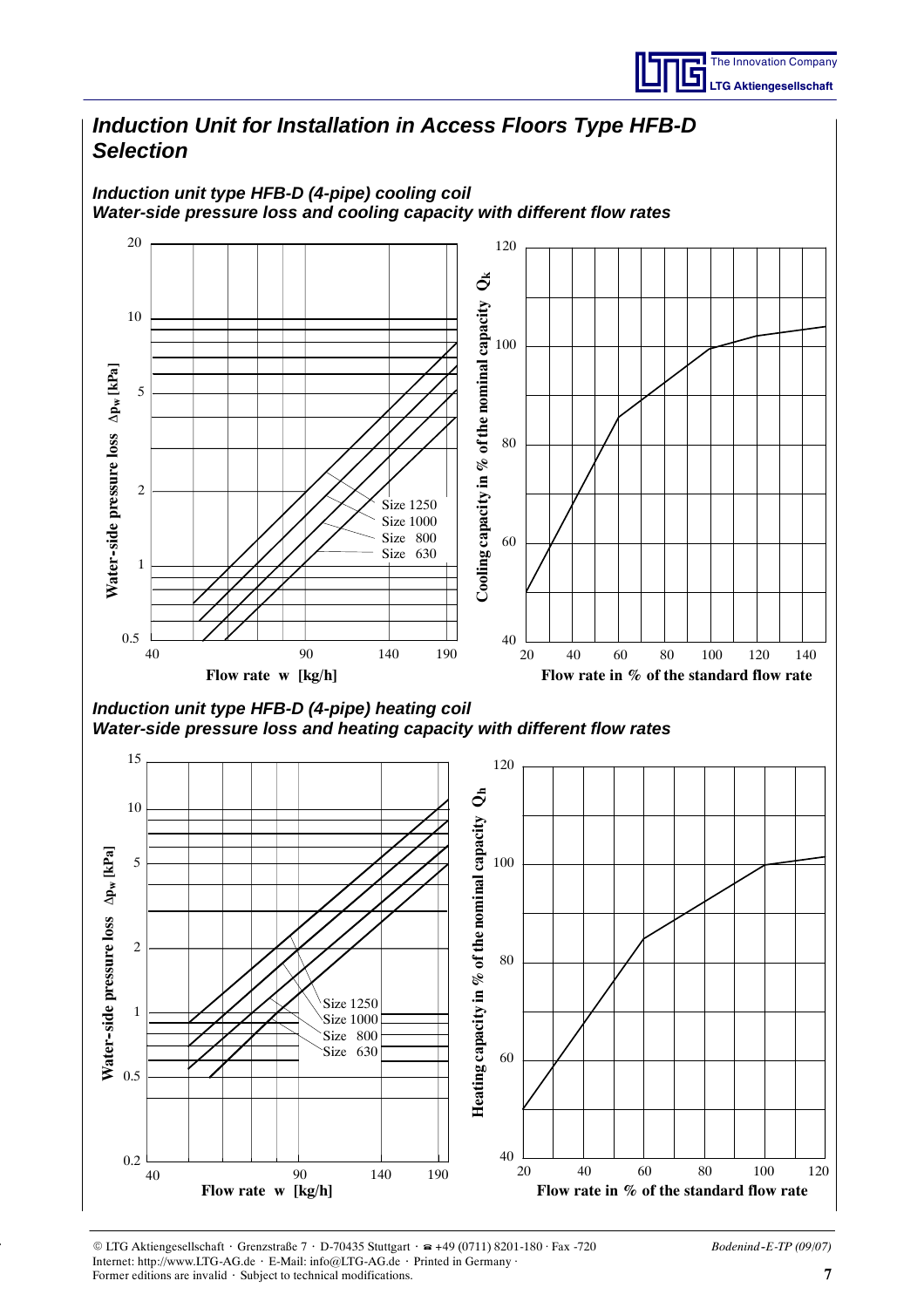

### *Induction Unit for Installation in Access Floors Type HFB-D Selection Induction unit type HFB-D (4-pipe) cooling coil Water-side pressure loss and cooling capacity with different flow rates* 20 120 ð **Cooling capacity in % of the nominal capacity Qk** 10 100 **Water-side pressure loss** Ap<sub>w</sub> [kPa] 5 **Water--side pressure loss** 80 Cooling capacity in 2 Size 1250 Size 1000 Size 800 60 Size 630 1 0.5  $40$ 40 90 140 190 20 40 60 80 100 120 140

*Induction unit type HFB-D (4-pipe) heating coil Water-side pressure loss and heating capacity with different flow rates*



**Flow rate w [kg/h] Flow rate in % of the standard flow rate**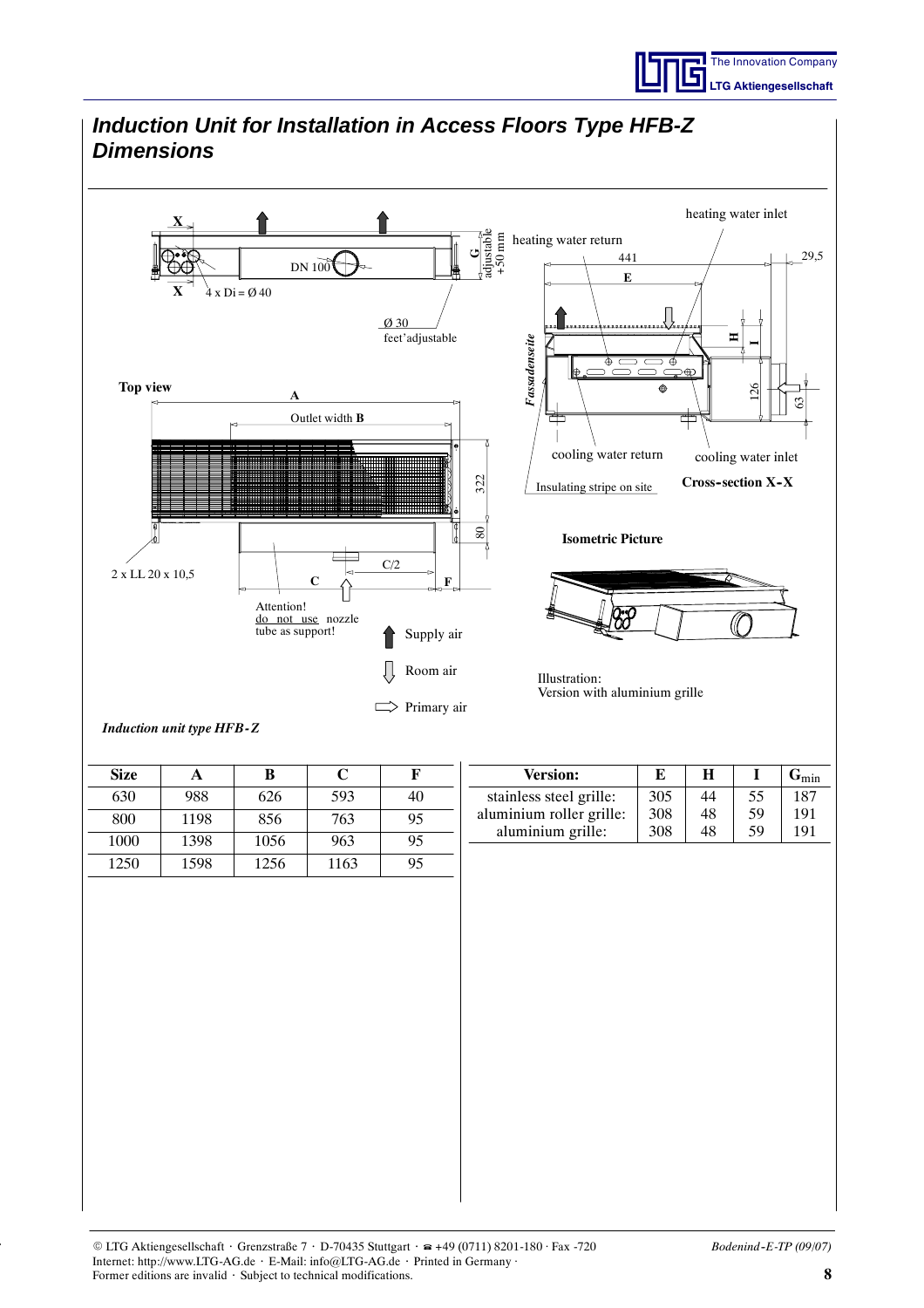

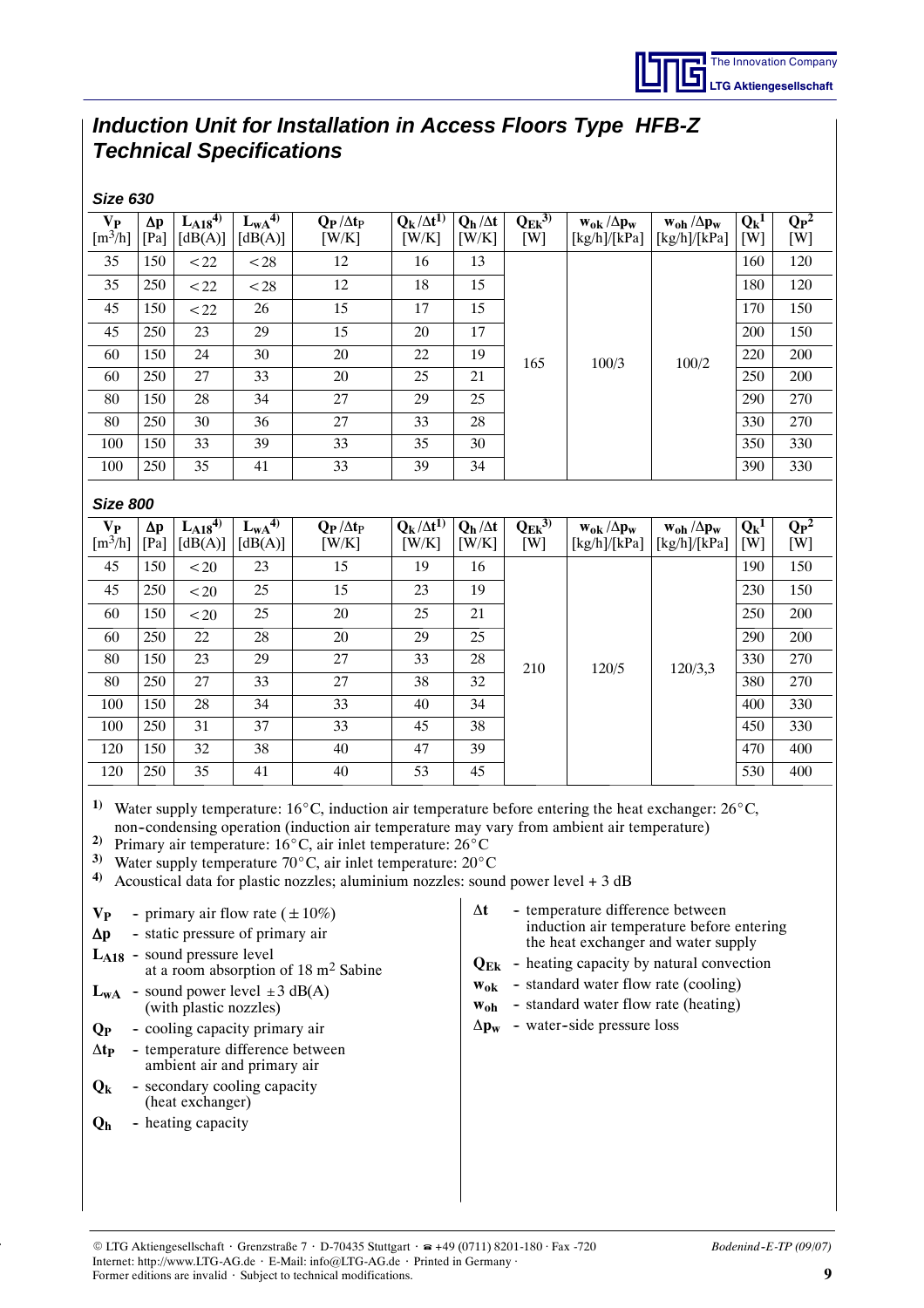## *Induction Unit for Installation in Access Floors Type HFB-Z Technical Specifications*

*Size 630*

| <b>SIZE 630</b>                                                                                                                                                                                                                                                                     |                    |                          |                             |                                                 |                               |                         |                      |                                                         |                                       |                |                  |
|-------------------------------------------------------------------------------------------------------------------------------------------------------------------------------------------------------------------------------------------------------------------------------------|--------------------|--------------------------|-----------------------------|-------------------------------------------------|-------------------------------|-------------------------|----------------------|---------------------------------------------------------|---------------------------------------|----------------|------------------|
| $V_{P}$<br>$\left[\text{m}^3/\text{h}\right]$                                                                                                                                                                                                                                       | $\Delta p$<br>[Pa] | $L_{A18}^{4}$<br>[dB(A)] | $L_{\rm WA}^{4}$<br>[dB(A)] | $Q_P/\Delta t_P$<br>[W/K]                       | $Q_k / \Delta t^{1}$<br>[W/K] | $Q_h/\Delta t$<br>[W/K] | $Q_{Ek}^{3)}$<br>[W] | $\mathbf{w_{ok}}\,/\Delta \mathbf{p_w}$<br>[kg/h]/[kPa] | $w_{oh} / \Delta p_w$<br>[kg/h]/[kPa] | $Q_k^1$<br>[W] | $Q_{P}^2$<br>[W] |
| 35                                                                                                                                                                                                                                                                                  | 150                | < 22                     | < 28                        | 12                                              | 16                            | 13                      |                      |                                                         |                                       | 160            | 120              |
| 35                                                                                                                                                                                                                                                                                  | 250                | < 22                     | < 28                        | 12                                              | 18                            | 15                      |                      |                                                         |                                       | 180            | 120              |
| 45                                                                                                                                                                                                                                                                                  | 150                | < 22                     | 26                          | 15                                              | 17                            | 15                      |                      |                                                         |                                       | 170            | 150              |
| 45                                                                                                                                                                                                                                                                                  | 250                | 23                       | 29                          | 15                                              | 20                            | 17                      |                      |                                                         |                                       | 200            | 150              |
| 60                                                                                                                                                                                                                                                                                  | 150                | 24                       | 30                          | 20                                              | 22                            | 19                      | 165                  | 100/3                                                   | 100/2                                 | 220            | 200              |
| 60                                                                                                                                                                                                                                                                                  | 250                | 27                       | 33                          | 20                                              | 25                            | 21                      |                      |                                                         |                                       | 250            | 200              |
| 80                                                                                                                                                                                                                                                                                  | 150                | 28                       | 34                          | 27                                              | 29                            | 25                      |                      |                                                         |                                       | 290            | 270              |
| 80                                                                                                                                                                                                                                                                                  | 250                | 30                       | 36                          | 27                                              | 33                            | 28                      |                      |                                                         |                                       | 330            | 270              |
| 100                                                                                                                                                                                                                                                                                 | 150                | 33                       | 39                          | 33                                              | 35                            | 30                      |                      |                                                         |                                       | 350            | 330              |
| 100                                                                                                                                                                                                                                                                                 | 250                | 35                       | 41                          | 33                                              | 39                            | 34                      |                      |                                                         |                                       | 390            | 330              |
|                                                                                                                                                                                                                                                                                     | <b>Size 800</b>    |                          |                             |                                                 |                               |                         |                      |                                                         |                                       |                |                  |
| $V_{P}$                                                                                                                                                                                                                                                                             | $\Delta p$         | $L_{A18}^{4}$            | $L_{wA}^{4}$                | $\mathbf{Q}_{\mathbf{P}}/\Delta t_{\mathbf{P}}$ | $Q_k/\Delta t^{1)}$           | $Q_h/\Delta t$          | $Q_{Ek}^{3)}$        | $w_{ok} / \Delta p_w$                                   | $w_{oh} / \Delta p_w$                 | $Q_k^1$        | $Q_{P}^2$        |
| $\left[\text{m}^3/\text{h}\right]$                                                                                                                                                                                                                                                  | [Pa]               | [dB(A)]                  | [dB(A)]                     | [W/K]                                           | [W/K]                         | [W/K]                   | [W]                  | [kg/h]/[kPa]                                            | [kg/h]/[kPa]                          | [W]            | [W]              |
| 45                                                                                                                                                                                                                                                                                  | 150                | < 20                     | 23                          | 15                                              | 19                            | 16                      |                      |                                                         |                                       | 190            | 150              |
| 45                                                                                                                                                                                                                                                                                  | 250                | < 20                     | 25                          | 15                                              | 23                            | 19                      |                      |                                                         | 120/3,3                               | 230            | 150              |
| 60                                                                                                                                                                                                                                                                                  | 150                | < 20                     | 25                          | 20                                              | 25                            | 21                      |                      |                                                         |                                       | 250            | 200              |
| 60                                                                                                                                                                                                                                                                                  | 250                | 22                       | 28                          | 20                                              | 29                            | 25                      |                      |                                                         |                                       | 290            | 200              |
| 80                                                                                                                                                                                                                                                                                  | 150                | 23                       | 29                          | 27                                              | 33                            | 28                      | 210                  | 120/5                                                   |                                       | 330            | 270              |
| 80                                                                                                                                                                                                                                                                                  | 250                | 27                       | 33                          | 27                                              | 38                            | 32                      |                      |                                                         |                                       | 380            | 270              |
| 100                                                                                                                                                                                                                                                                                 | 150                | 28                       | 34                          | 33                                              | 40                            | 34                      |                      |                                                         |                                       | 400            | 330              |
| 100                                                                                                                                                                                                                                                                                 | 250                | 31                       | 37                          | 33                                              | 45                            | 38                      |                      |                                                         |                                       | 450            | 330              |
| 120                                                                                                                                                                                                                                                                                 | 150                | 32                       | 38                          | 40                                              | 47                            | 39                      |                      |                                                         |                                       | 470            | 400              |
| 120                                                                                                                                                                                                                                                                                 | 250                | 35                       | 41                          | 40                                              | 53                            | 45                      |                      |                                                         |                                       | 530            | 400              |
| <sup>1)</sup> Water supply temperature: 16°C, induction air temperature before entering the heat exchanger: 26°C,<br>non-condensing operation (induction air temperature may vary from ambient air temperature)<br>2) Drimary air tamparatura: $160C$ air inlat tamparatura: $260C$ |                    |                          |                             |                                                 |                               |                         |                      |                                                         |                                       |                |                  |

Primary air temperature: 16°C, air inlet temperature: 26°C 3) Water supply temperature  $70^{\circ}$ C, air inlet temperature:  $20^{\circ}$ C

**4)** Acoustical data for plastic nozzles; aluminium nozzles: sound power level + 3 dB

- $Q_k$  secondary cooling capacity (heat exchanger)
- **Q<sub>h</sub>** heating capacity

 $L_{A18}$  -

 $L_{WA}$  -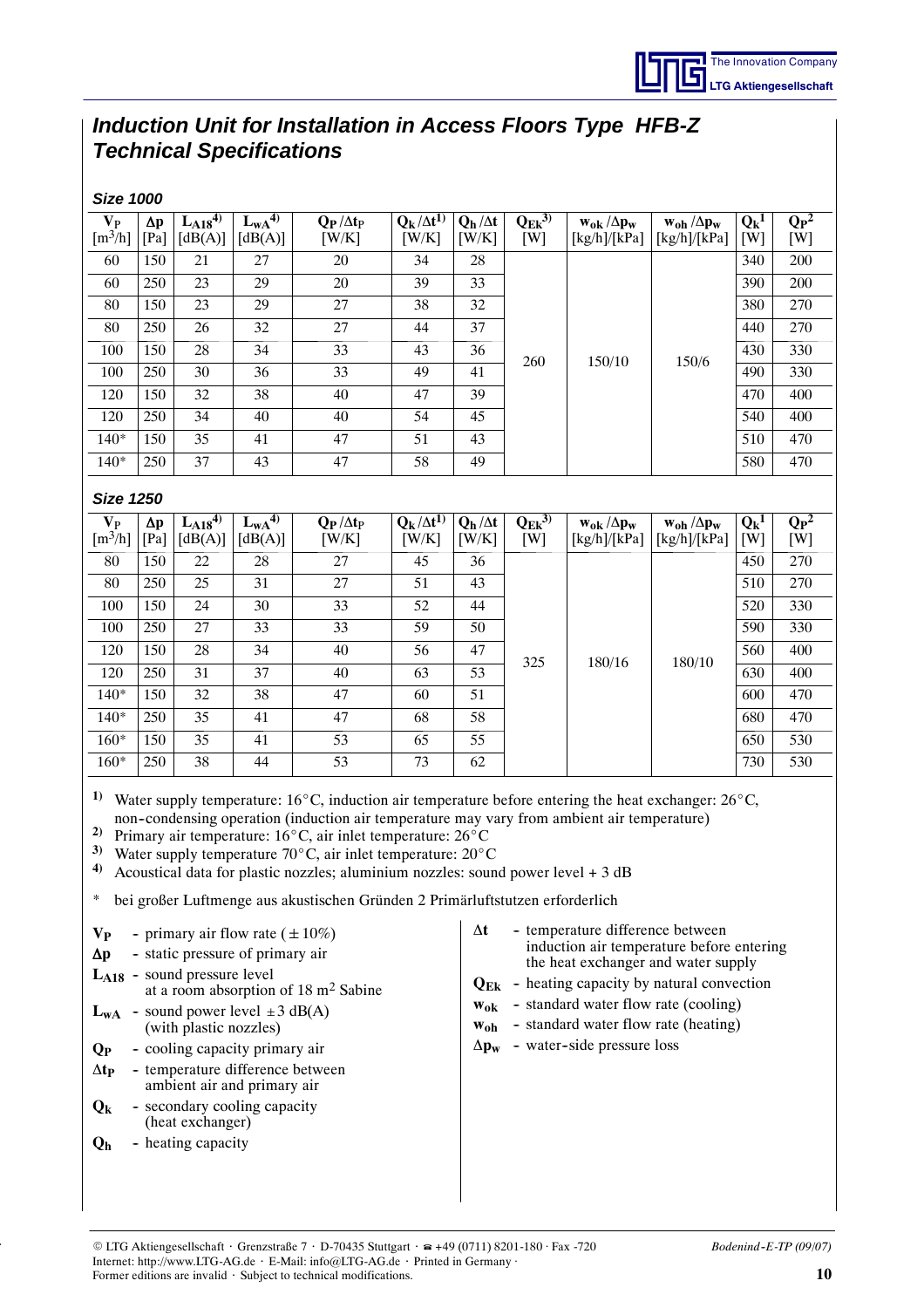## *Induction Unit for Installation in Access Floors Type HFB-Z Technical Specifications*

| <b>Size 1000</b>                                                                                                                                                                                                                                                                                                                                                                                                                                                                                                                                                                       |            |                                                                                                      |                                                                                                                                                                                                                                                               |                                                 |                      |                                          |               |                                                                                                                                                                                                                                                                                                               |                       |         |                                        |
|----------------------------------------------------------------------------------------------------------------------------------------------------------------------------------------------------------------------------------------------------------------------------------------------------------------------------------------------------------------------------------------------------------------------------------------------------------------------------------------------------------------------------------------------------------------------------------------|------------|------------------------------------------------------------------------------------------------------|---------------------------------------------------------------------------------------------------------------------------------------------------------------------------------------------------------------------------------------------------------------|-------------------------------------------------|----------------------|------------------------------------------|---------------|---------------------------------------------------------------------------------------------------------------------------------------------------------------------------------------------------------------------------------------------------------------------------------------------------------------|-----------------------|---------|----------------------------------------|
| $V_{P}$                                                                                                                                                                                                                                                                                                                                                                                                                                                                                                                                                                                | $\Delta p$ | $L_{A18}^{4}$                                                                                        | $L_{wA}^{4}$                                                                                                                                                                                                                                                  | $Q_P/\Delta t_P$                                | $Q_k / \Delta t^{1}$ | $Q_h/\Delta t$                           | $Q_{Ek}^{3)}$ | $w_{0k}/\Delta p_w$                                                                                                                                                                                                                                                                                           | $w_{oh} / \Delta p_w$ | $Q_k^1$ | $\overline{\mathbf{Q}_{\mathbf{P}}^2}$ |
| $\left[\frac{m^3}{h}\right]$                                                                                                                                                                                                                                                                                                                                                                                                                                                                                                                                                           | [Pa]       | [dB(A)]                                                                                              | [dB(A)]                                                                                                                                                                                                                                                       | [W/K]                                           | [W/K]                | [W/K]                                    | [W]           | [kg/h]/[kPa]                                                                                                                                                                                                                                                                                                  | [kg/h]/[kPa]          | [W]     | [W]                                    |
| 60                                                                                                                                                                                                                                                                                                                                                                                                                                                                                                                                                                                     | 150        | 21                                                                                                   | 27                                                                                                                                                                                                                                                            | 20                                              | 34                   | 28                                       |               |                                                                                                                                                                                                                                                                                                               |                       | 340     | 200                                    |
| 60                                                                                                                                                                                                                                                                                                                                                                                                                                                                                                                                                                                     | 250        | 23                                                                                                   | 29                                                                                                                                                                                                                                                            | 20                                              | 39                   | 33                                       |               |                                                                                                                                                                                                                                                                                                               |                       | 390     | 200                                    |
| 80                                                                                                                                                                                                                                                                                                                                                                                                                                                                                                                                                                                     | 150        | 23                                                                                                   | 29                                                                                                                                                                                                                                                            | 27                                              | 38                   | 32                                       |               |                                                                                                                                                                                                                                                                                                               |                       | 380     | 270                                    |
| 80                                                                                                                                                                                                                                                                                                                                                                                                                                                                                                                                                                                     | 250        | 26                                                                                                   | 32                                                                                                                                                                                                                                                            | 27                                              | 44                   | 37                                       |               |                                                                                                                                                                                                                                                                                                               |                       | 440     | 270                                    |
| 100                                                                                                                                                                                                                                                                                                                                                                                                                                                                                                                                                                                    | 150        | 28                                                                                                   | 34                                                                                                                                                                                                                                                            | 33                                              | 43                   | 36                                       | 260           | 150/10                                                                                                                                                                                                                                                                                                        | 150/6                 | 430     | 330                                    |
| 100                                                                                                                                                                                                                                                                                                                                                                                                                                                                                                                                                                                    | 250        | 30                                                                                                   | 36                                                                                                                                                                                                                                                            | 33                                              | 49                   | 41                                       |               |                                                                                                                                                                                                                                                                                                               |                       | 490     | 330                                    |
| 120                                                                                                                                                                                                                                                                                                                                                                                                                                                                                                                                                                                    | 150        | 32                                                                                                   | 38                                                                                                                                                                                                                                                            | 40                                              | 47                   | 39                                       |               |                                                                                                                                                                                                                                                                                                               |                       | 470     | 400                                    |
| 120                                                                                                                                                                                                                                                                                                                                                                                                                                                                                                                                                                                    | 250        | 34                                                                                                   | 40                                                                                                                                                                                                                                                            | 40                                              | 54                   | 45                                       |               |                                                                                                                                                                                                                                                                                                               |                       | 540     | 400                                    |
| $140*$                                                                                                                                                                                                                                                                                                                                                                                                                                                                                                                                                                                 | 150        | 35                                                                                                   | 41                                                                                                                                                                                                                                                            | 47                                              | 51                   | 43                                       |               |                                                                                                                                                                                                                                                                                                               |                       | 510     | 470                                    |
| 140*                                                                                                                                                                                                                                                                                                                                                                                                                                                                                                                                                                                   | 250        | 37                                                                                                   | 43                                                                                                                                                                                                                                                            | 47                                              | 58                   | 49                                       |               |                                                                                                                                                                                                                                                                                                               |                       | 580     | 470                                    |
| <b>Size 1250</b>                                                                                                                                                                                                                                                                                                                                                                                                                                                                                                                                                                       |            |                                                                                                      |                                                                                                                                                                                                                                                               |                                                 |                      |                                          |               |                                                                                                                                                                                                                                                                                                               |                       |         |                                        |
| $V_{P}$                                                                                                                                                                                                                                                                                                                                                                                                                                                                                                                                                                                | $\Delta p$ | $L_{A18}$ <sup>4)</sup>                                                                              | $L_{WA}^{(4)}$                                                                                                                                                                                                                                                | $Q_P/\Delta t_P$                                | $Q_k / \Delta t^{1}$ | $Q_h / \Delta t$                         | $Q_{Ek}^{3)}$ | $w_{0k}/\Delta p_w$                                                                                                                                                                                                                                                                                           | $w_{oh} / \Delta p_w$ | $Q_k^1$ | $\overline{\mathbf{Q}_{\mathbf{P}}^2}$ |
| $\left[\text{m}^3/\text{h}\right]$                                                                                                                                                                                                                                                                                                                                                                                                                                                                                                                                                     | [Pa]       | [dB(A)]                                                                                              | [dB(A)]                                                                                                                                                                                                                                                       | [W/K]                                           | [W/K]                | [W/K]                                    | [W]           | [kg/h]/[kPa]                                                                                                                                                                                                                                                                                                  | [kg/h]/[kPa]          | [W]     | [W]                                    |
| 80                                                                                                                                                                                                                                                                                                                                                                                                                                                                                                                                                                                     | 150        | 22                                                                                                   | 28                                                                                                                                                                                                                                                            | 27                                              | 45                   | 36                                       |               |                                                                                                                                                                                                                                                                                                               |                       | 450     | 270                                    |
| 80                                                                                                                                                                                                                                                                                                                                                                                                                                                                                                                                                                                     | 250        | 25                                                                                                   | 31                                                                                                                                                                                                                                                            | 27                                              | 51                   | 43                                       |               |                                                                                                                                                                                                                                                                                                               |                       | 510     | 270                                    |
| 100                                                                                                                                                                                                                                                                                                                                                                                                                                                                                                                                                                                    | 150        | 24                                                                                                   | 30                                                                                                                                                                                                                                                            | 33                                              | 52                   | 44                                       |               |                                                                                                                                                                                                                                                                                                               | 180/10                | 520     | 330                                    |
| 100                                                                                                                                                                                                                                                                                                                                                                                                                                                                                                                                                                                    | 250        | 27                                                                                                   | 33                                                                                                                                                                                                                                                            | 33                                              | 59                   | 50                                       |               |                                                                                                                                                                                                                                                                                                               |                       | 590     | 330                                    |
| 120                                                                                                                                                                                                                                                                                                                                                                                                                                                                                                                                                                                    | 150        | 28                                                                                                   | 34                                                                                                                                                                                                                                                            | 40                                              | 56                   | 47                                       |               |                                                                                                                                                                                                                                                                                                               |                       | 560     | 400                                    |
| 120                                                                                                                                                                                                                                                                                                                                                                                                                                                                                                                                                                                    | 250        | 31                                                                                                   | 37                                                                                                                                                                                                                                                            | 40                                              | 63                   | 53                                       | 325           | 180/16                                                                                                                                                                                                                                                                                                        |                       | 630     | 400                                    |
| $140*$                                                                                                                                                                                                                                                                                                                                                                                                                                                                                                                                                                                 | 150        | 32                                                                                                   | 38                                                                                                                                                                                                                                                            | 47                                              | 60                   | 51                                       |               |                                                                                                                                                                                                                                                                                                               |                       | 600     | 470                                    |
| $140*$                                                                                                                                                                                                                                                                                                                                                                                                                                                                                                                                                                                 | 250        | 35                                                                                                   | 41                                                                                                                                                                                                                                                            | 47                                              | 68                   | 58                                       |               |                                                                                                                                                                                                                                                                                                               |                       | 680     | 470                                    |
| $160*$                                                                                                                                                                                                                                                                                                                                                                                                                                                                                                                                                                                 | 150        | 35                                                                                                   | 41                                                                                                                                                                                                                                                            | 53                                              | 65                   | 55                                       |               |                                                                                                                                                                                                                                                                                                               |                       | 650     | 530                                    |
| $160*$                                                                                                                                                                                                                                                                                                                                                                                                                                                                                                                                                                                 | 250        | 38                                                                                                   | 44                                                                                                                                                                                                                                                            | 53                                              | 73                   | 62                                       |               |                                                                                                                                                                                                                                                                                                               |                       | 730     | 530                                    |
| 1)<br>Water supply temperature: $16^{\circ}$ C, induction air temperature before entering the heat exchanger: $26^{\circ}$ C,<br>non-condensing operation (induction air temperature may vary from ambient air temperature)<br>2)<br>Primary air temperature: 16°C, air inlet temperature: 26°C<br>3)<br>Water supply temperature $70^{\circ}$ C, air inlet temperature: $20^{\circ}$ C<br>$\boldsymbol{4}$<br>Acoustical data for plastic nozzles; aluminium nozzles: sound power level $+3$ dB<br>∗<br>bei großer Luftmenge aus akustischen Gründen 2 Primärluftstutzen erforderlich |            |                                                                                                      |                                                                                                                                                                                                                                                               |                                                 |                      |                                          |               |                                                                                                                                                                                                                                                                                                               |                       |         |                                        |
| $V_{P}$<br>$\Delta p$<br>Q <sub>P</sub><br>$\Delta t_{\rm P}$<br>$Q_{k}$<br>Q <sub>h</sub>                                                                                                                                                                                                                                                                                                                                                                                                                                                                                             |            | $L_{A18}$ - sound pressure level<br>(with plastic nozzles)<br>(heat exchanger)<br>- heating capacity | - primary air flow rate ( $\pm 10\%$ )<br>- static pressure of primary air<br>$L_{WA}$ - sound power level $\pm 3$ dB(A)<br>- cooling capacity primary air<br>- temperature difference between<br>ambient air and primary air<br>- secondary cooling capacity | at a room absorption of $18 \text{ m}^2$ Sabine |                      | $\Delta t$<br>$\mathbf{w}_{\mathbf{oh}}$ |               | - temperature difference between<br>induction air temperature before entering<br>the heat exchanger and water supply<br>$Q_{Ek}$ - heating capacity by natural convection<br>$w_{ok}$ - standard water flow rate (cooling)<br>- standard water flow rate (heating)<br>$\Delta p_w$ - water-side pressure loss |                       |         |                                        |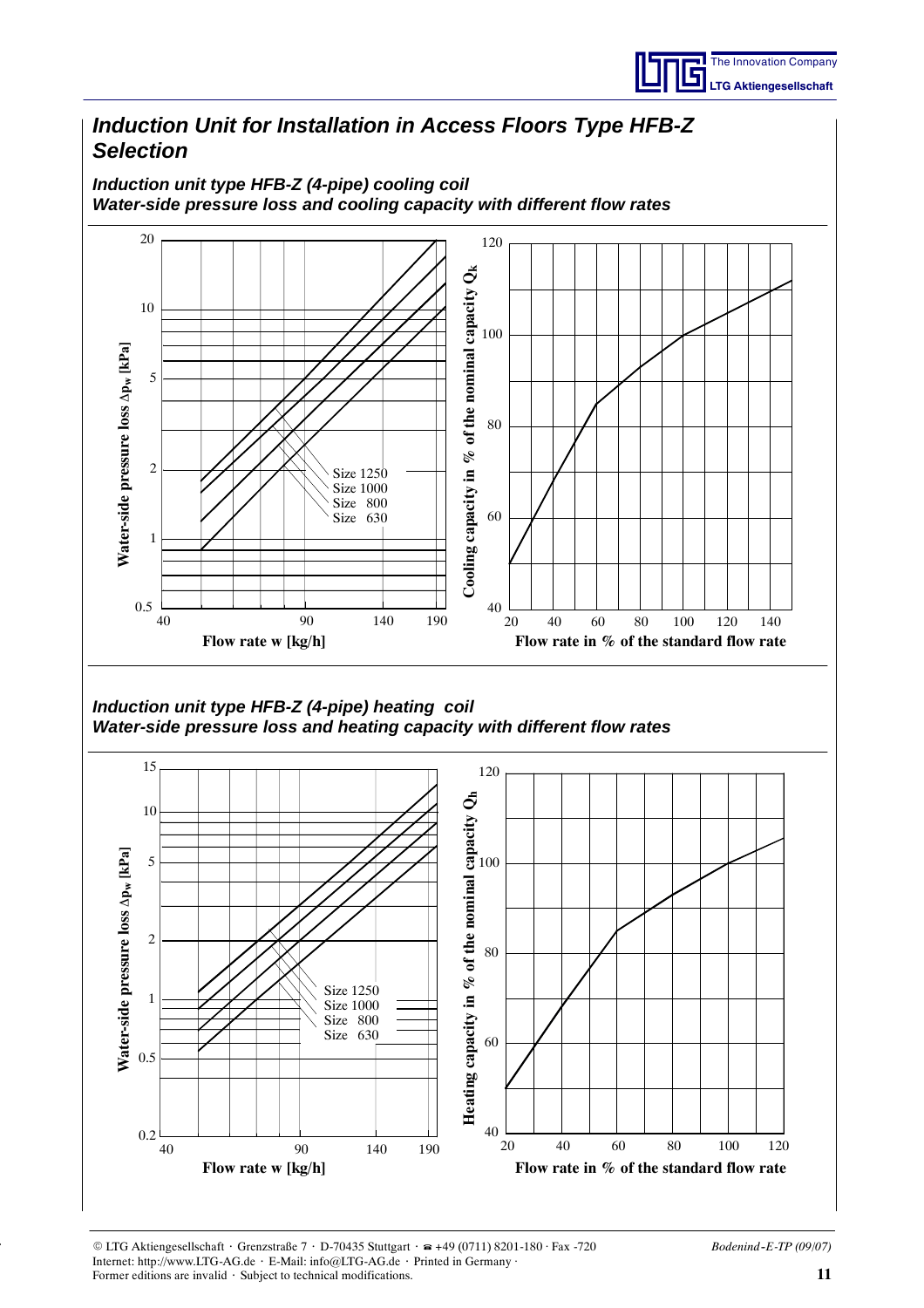

## *Induction Unit for Installation in Access Floors Type HFB-Z Selection*

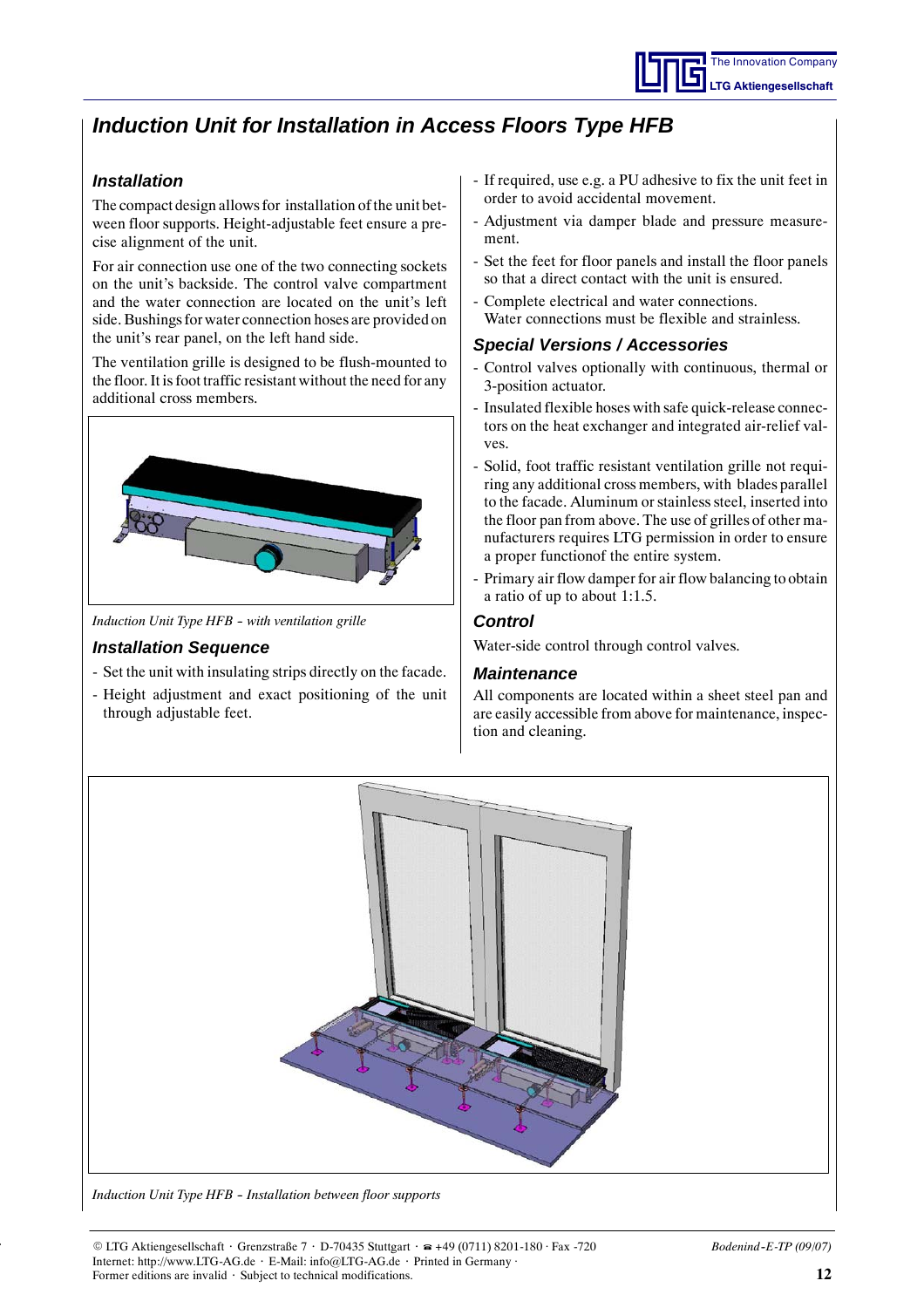## *Induction Unit for Installation in Access Floors Type HFB*

## *Installation*

The compact design allows for installation of the unit between floor supports. Height-adjustable feet ensure a precise alignment of the unit.

For air connection use one of the two connecting sockets on the unit's backside. The control valve compartment and the water connection are located on the unit's left side. Bushings for water connection hoses are provided on the unit's rear panel, on the left hand side.

The ventilation grille is designed to be flush-mounted to the floor. It is foot traffic resistant without the need for any additional cross members.

![](_page_11_Picture_6.jpeg)

*Induction Unit Type HFB -- with ventilation grille*

### *Installation Sequence*

- Set the unit with insulating strips directly on the facade.
- Height adjustment and exact positioning of the unit through adjustable feet.
- If required, use e.g. a PU adhesive to fix the unit feet in order to avoid accidental movement.
- Adjustment via damper blade and pressure measurement.
- Set the feet for floor panels and install the floor panels so that a direct contact with the unit is ensured.
- Complete electrical and water connections. Water connections must be flexible and strainless.

### *Special Versions / Accessories*

- Control valves optionally with continuous, thermal or 3-position actuator.
- Insulated flexible hoses with safe quick-release connectors on the heat exchanger and integrated air-relief valves.
- Solid, foot traffic resistant ventilation grille not requiring any additional cross members, with blades parallel to the facade. Aluminum or stainless steel, inserted into the floor pan from above. The use of grilles of other manufacturers requires LTG permission in order to ensure a proper functionof the entire system.
- Primary air flow damper for air flow balancing to obtain a ratio of up to about 1:1.5.

### *Control*

Water-side control through control valves.

### *Maintenance*

All components are located within a sheet steel pan and are easily accessible from above for maintenance, inspection and cleaning.

![](_page_11_Picture_24.jpeg)

*Induction Unit Type HFB -- Installation between floor supports*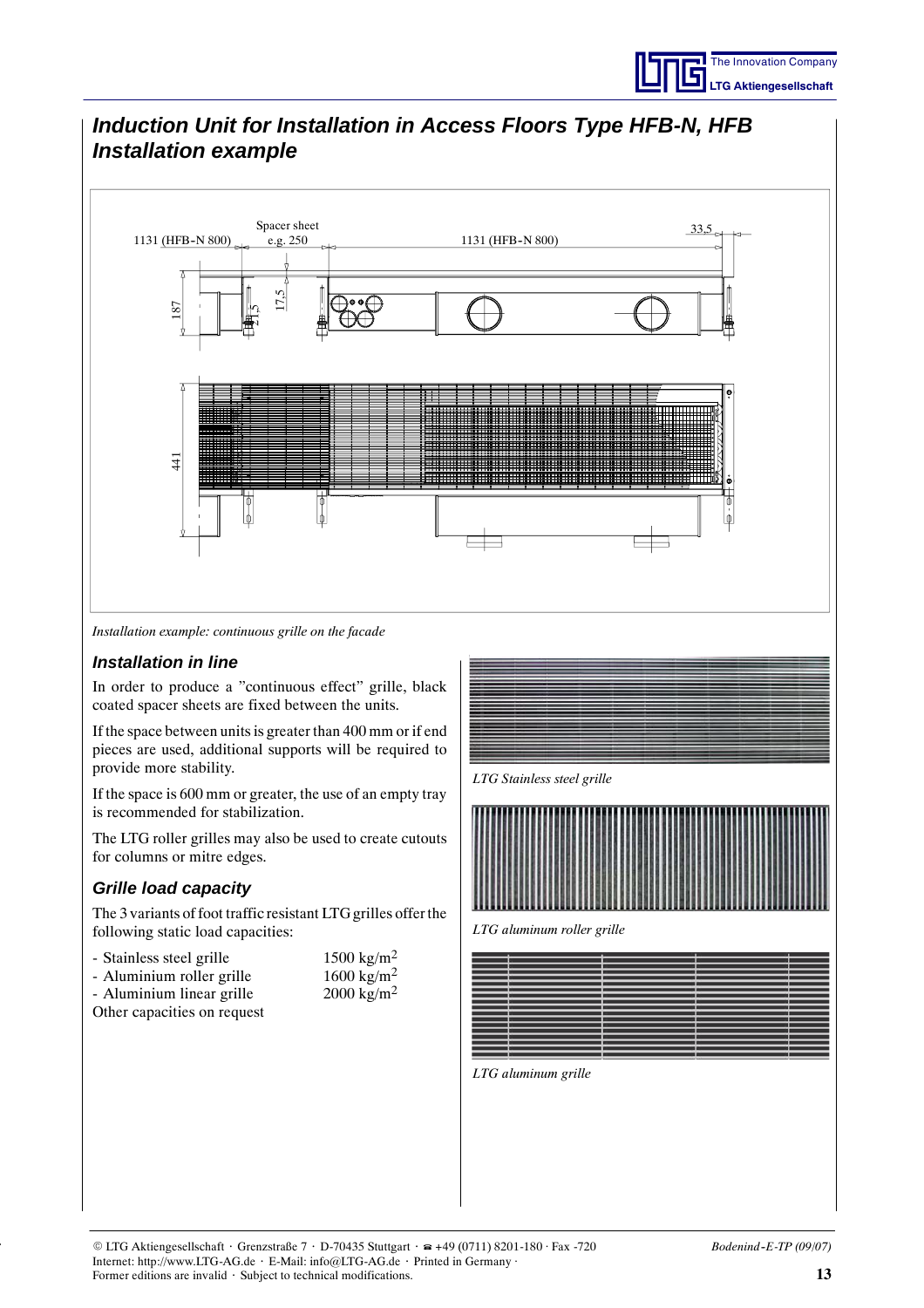## *Induction Unit for Installation in Access Floors Type HFB-N, HFB Installation example*

![](_page_12_Figure_2.jpeg)

*Installation example: continuous grille on the facade*

### *Installation in line*

In order to produce a "continuous effect" grille, black coated spacer sheets are fixed between the units.

If the space between units is greater than 400 mm or if end pieces are used, additional supports will be required to provide more stability.

If the space is 600 mm or greater, the use of an empty tray is recommended for stabilization.

The LTG roller grilles may also be used to create cutouts for columns or mitre edges.

### *Grille load capacity*

The 3 variants of foot traffic resistant LTG grilles offer the following static load capacities:

| - Stainless steel grille  | 1500 kg/m <sup>2</sup> |
|---------------------------|------------------------|
| - Aluminium roller grille | 1600 kg/m <sup>2</sup> |

| - Aluminium linear grille   | 2000 kg/m <sup>2</sup> |
|-----------------------------|------------------------|
| Other capacities on request |                        |

![](_page_12_Picture_13.jpeg)

*LTG aluminum roller grille*

![](_page_12_Figure_16.jpeg)

*LTG aluminum grille*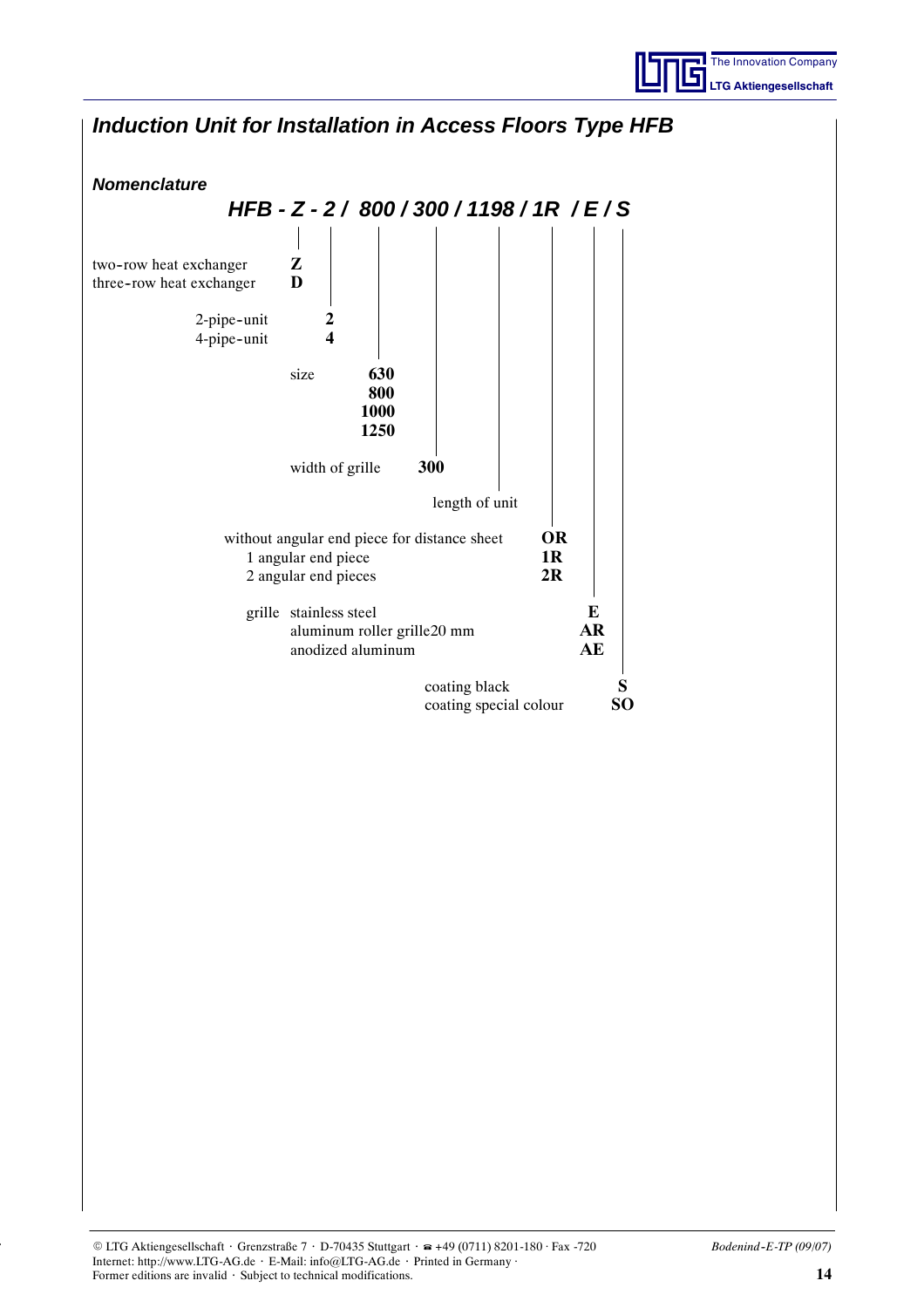![](_page_13_Picture_0.jpeg)

![](_page_13_Figure_1.jpeg)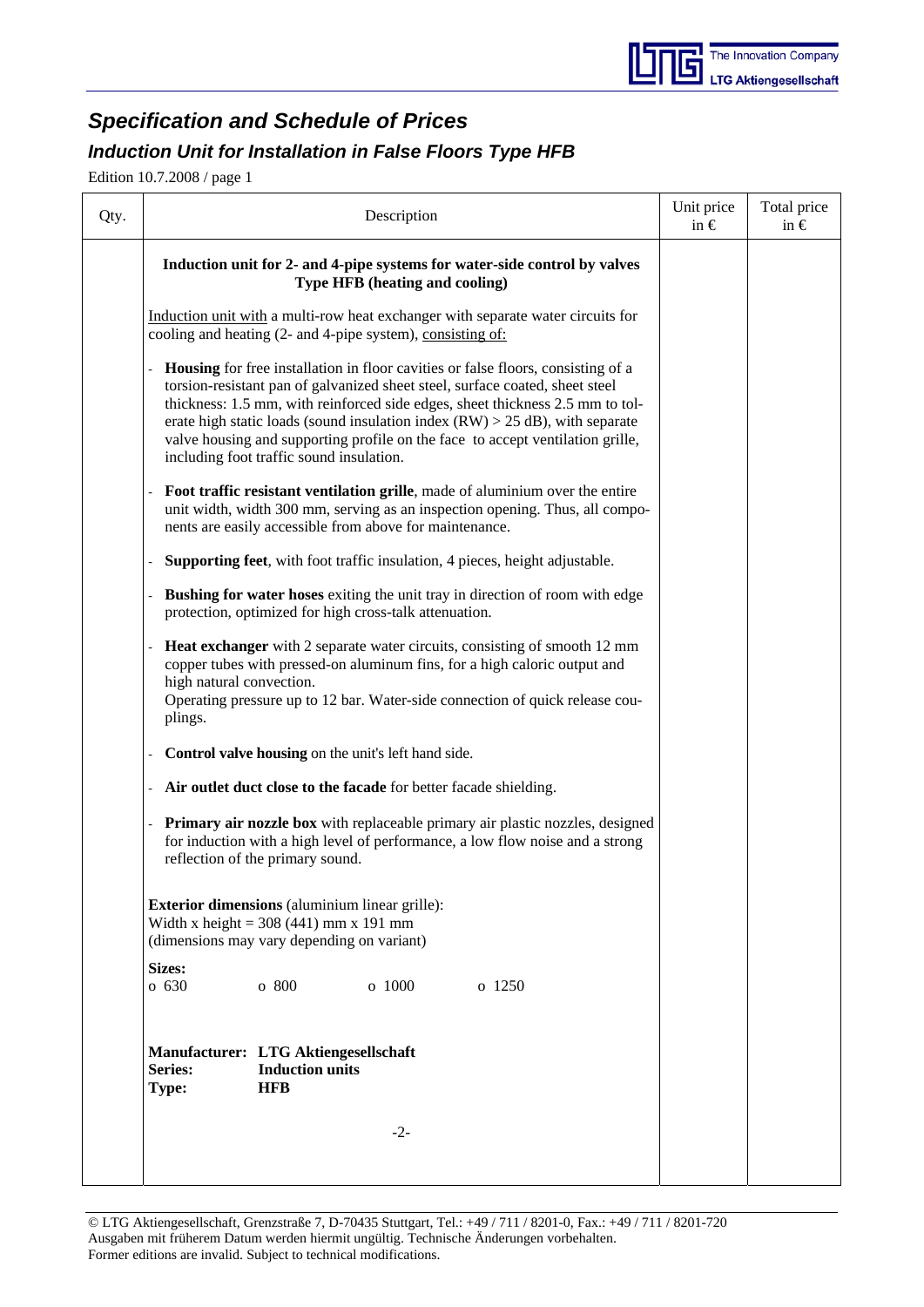## *Specification and Schedule of Prices*

## *Induction Unit for Installation in False Floors Type HFB*

Edition 10.7.2008 / page 1

| Qty. |                                                                                                                                                |                                                                                                                                                                                                                                                                    | Description                                            |                                                                                                                                                                                                                                                                                                                                                                                                                       |  | Unit price<br>in $\epsilon$ | Total price<br>in $\epsilon$ |  |  |
|------|------------------------------------------------------------------------------------------------------------------------------------------------|--------------------------------------------------------------------------------------------------------------------------------------------------------------------------------------------------------------------------------------------------------------------|--------------------------------------------------------|-----------------------------------------------------------------------------------------------------------------------------------------------------------------------------------------------------------------------------------------------------------------------------------------------------------------------------------------------------------------------------------------------------------------------|--|-----------------------------|------------------------------|--|--|
|      |                                                                                                                                                |                                                                                                                                                                                                                                                                    | Type HFB (heating and cooling)                         | Induction unit for 2- and 4-pipe systems for water-side control by valves                                                                                                                                                                                                                                                                                                                                             |  |                             |                              |  |  |
|      | cooling and heating (2- and 4-pipe system), consisting of:                                                                                     |                                                                                                                                                                                                                                                                    |                                                        | Induction unit with a multi-row heat exchanger with separate water circuits for                                                                                                                                                                                                                                                                                                                                       |  |                             |                              |  |  |
|      |                                                                                                                                                | including foot traffic sound insulation.                                                                                                                                                                                                                           |                                                        | Housing for free installation in floor cavities or false floors, consisting of a<br>torsion-resistant pan of galvanized sheet steel, surface coated, sheet steel<br>thickness: 1.5 mm, with reinforced side edges, sheet thickness 2.5 mm to tol-<br>erate high static loads (sound insulation index $(RW) > 25$ dB), with separate<br>valve housing and supporting profile on the face to accept ventilation grille, |  |                             |                              |  |  |
|      |                                                                                                                                                | Foot traffic resistant ventilation grille, made of aluminium over the entire<br>unit width, width 300 mm, serving as an inspection opening. Thus, all compo-<br>nents are easily accessible from above for maintenance.                                            |                                                        |                                                                                                                                                                                                                                                                                                                                                                                                                       |  |                             |                              |  |  |
|      |                                                                                                                                                |                                                                                                                                                                                                                                                                    |                                                        | Supporting feet, with foot traffic insulation, 4 pieces, height adjustable.                                                                                                                                                                                                                                                                                                                                           |  |                             |                              |  |  |
|      |                                                                                                                                                |                                                                                                                                                                                                                                                                    | protection, optimized for high cross-talk attenuation. | Bushing for water hoses exiting the unit tray in direction of room with edge                                                                                                                                                                                                                                                                                                                                          |  |                             |                              |  |  |
|      | plings.                                                                                                                                        | Heat exchanger with 2 separate water circuits, consisting of smooth 12 mm<br>copper tubes with pressed-on aluminum fins, for a high caloric output and<br>high natural convection.<br>Operating pressure up to 12 bar. Water-side connection of quick release cou- |                                                        |                                                                                                                                                                                                                                                                                                                                                                                                                       |  |                             |                              |  |  |
|      |                                                                                                                                                |                                                                                                                                                                                                                                                                    | Control valve housing on the unit's left hand side.    |                                                                                                                                                                                                                                                                                                                                                                                                                       |  |                             |                              |  |  |
|      |                                                                                                                                                |                                                                                                                                                                                                                                                                    |                                                        | Air outlet duct close to the facade for better facade shielding.                                                                                                                                                                                                                                                                                                                                                      |  |                             |                              |  |  |
|      |                                                                                                                                                | reflection of the primary sound.                                                                                                                                                                                                                                   |                                                        | Primary air nozzle box with replaceable primary air plastic nozzles, designed<br>for induction with a high level of performance, a low flow noise and a strong                                                                                                                                                                                                                                                        |  |                             |                              |  |  |
|      | <b>Exterior dimensions</b> (aluminium linear grille):<br>Width x height = $308(441)$ mm x 191 mm<br>(dimensions may vary depending on variant) |                                                                                                                                                                                                                                                                    |                                                        |                                                                                                                                                                                                                                                                                                                                                                                                                       |  |                             |                              |  |  |
|      | <b>Sizes:</b><br>o 630                                                                                                                         | o 800                                                                                                                                                                                                                                                              | o 1000                                                 | o 1250                                                                                                                                                                                                                                                                                                                                                                                                                |  |                             |                              |  |  |
|      | Manufacturer: LTG Aktiengesellschaft<br>Series:<br>Type:                                                                                       | <b>Induction units</b><br><b>HFB</b>                                                                                                                                                                                                                               |                                                        |                                                                                                                                                                                                                                                                                                                                                                                                                       |  |                             |                              |  |  |
|      |                                                                                                                                                |                                                                                                                                                                                                                                                                    | $-2-$                                                  |                                                                                                                                                                                                                                                                                                                                                                                                                       |  |                             |                              |  |  |
|      |                                                                                                                                                |                                                                                                                                                                                                                                                                    |                                                        |                                                                                                                                                                                                                                                                                                                                                                                                                       |  |                             |                              |  |  |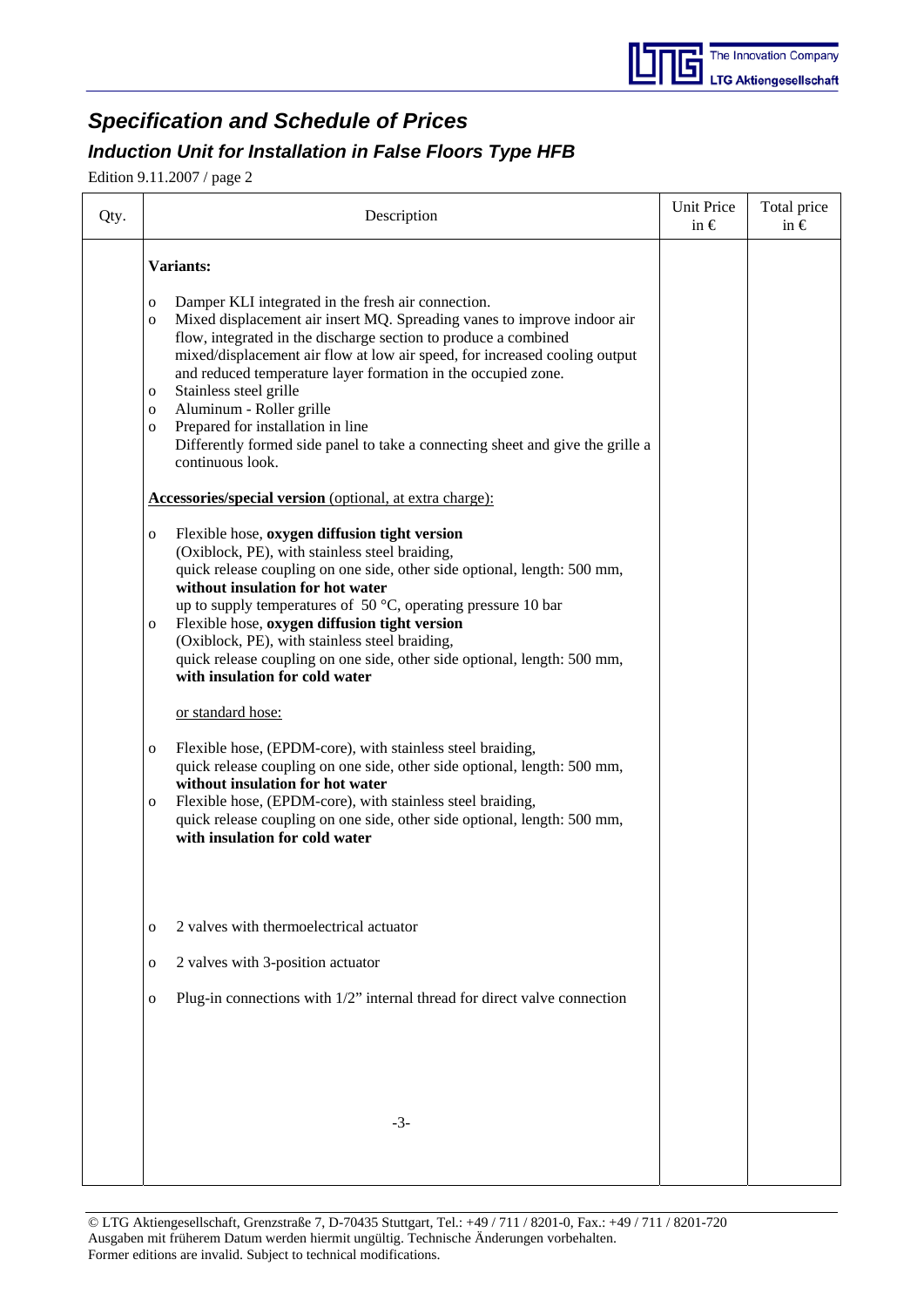## *Specification and Schedule of Prices*

## *Induction Unit for Installation in False Floors Type HFB*

Edition 9.11.2007 / page 2

| Qty. | Description                                                                                                                                                                                                                                                                                                                                                                                                                                                                                                                                                                                                                 | <b>Unit Price</b><br>in $\epsilon$ | Total price<br>in $\epsilon$ |
|------|-----------------------------------------------------------------------------------------------------------------------------------------------------------------------------------------------------------------------------------------------------------------------------------------------------------------------------------------------------------------------------------------------------------------------------------------------------------------------------------------------------------------------------------------------------------------------------------------------------------------------------|------------------------------------|------------------------------|
|      | <b>Variants:</b>                                                                                                                                                                                                                                                                                                                                                                                                                                                                                                                                                                                                            |                                    |                              |
|      | Damper KLI integrated in the fresh air connection.<br>$\mathbf 0$<br>Mixed displacement air insert MQ. Spreading vanes to improve indoor air<br>$\mathbf 0$<br>flow, integrated in the discharge section to produce a combined<br>mixed/displacement air flow at low air speed, for increased cooling output<br>and reduced temperature layer formation in the occupied zone.<br>Stainless steel grille<br>$\mathbf 0$<br>Aluminum - Roller grille<br>$\mathbf 0$<br>Prepared for installation in line<br>$\mathbf 0$<br>Differently formed side panel to take a connecting sheet and give the grille a<br>continuous look. |                                    |                              |
|      | Accessories/special version (optional, at extra charge):                                                                                                                                                                                                                                                                                                                                                                                                                                                                                                                                                                    |                                    |                              |
|      | Flexible hose, oxygen diffusion tight version<br>$\mathbf 0$<br>(Oxiblock, PE), with stainless steel braiding,<br>quick release coupling on one side, other side optional, length: 500 mm,<br>without insulation for hot water<br>up to supply temperatures of 50 $^{\circ}$ C, operating pressure 10 bar<br>Flexible hose, oxygen diffusion tight version<br>$\mathbf{O}$<br>(Oxiblock, PE), with stainless steel braiding,<br>quick release coupling on one side, other side optional, length: 500 mm,<br>with insulation for cold water                                                                                  |                                    |                              |
|      | or standard hose:                                                                                                                                                                                                                                                                                                                                                                                                                                                                                                                                                                                                           |                                    |                              |
|      | Flexible hose, (EPDM-core), with stainless steel braiding,<br>$\mathbf{o}$<br>quick release coupling on one side, other side optional, length: 500 mm,<br>without insulation for hot water<br>Flexible hose, (EPDM-core), with stainless steel braiding,<br>$\mathbf 0$<br>quick release coupling on one side, other side optional, length: 500 mm,<br>with insulation for cold water                                                                                                                                                                                                                                       |                                    |                              |
|      | 2 valves with thermoelectrical actuator<br>$\mathbf 0$                                                                                                                                                                                                                                                                                                                                                                                                                                                                                                                                                                      |                                    |                              |
|      | 2 valves with 3-position actuator<br>$\mathbf{o}$                                                                                                                                                                                                                                                                                                                                                                                                                                                                                                                                                                           |                                    |                              |
|      | Plug-in connections with 1/2" internal thread for direct valve connection<br>$\mathbf 0$                                                                                                                                                                                                                                                                                                                                                                                                                                                                                                                                    |                                    |                              |
|      | $-3-$                                                                                                                                                                                                                                                                                                                                                                                                                                                                                                                                                                                                                       |                                    |                              |